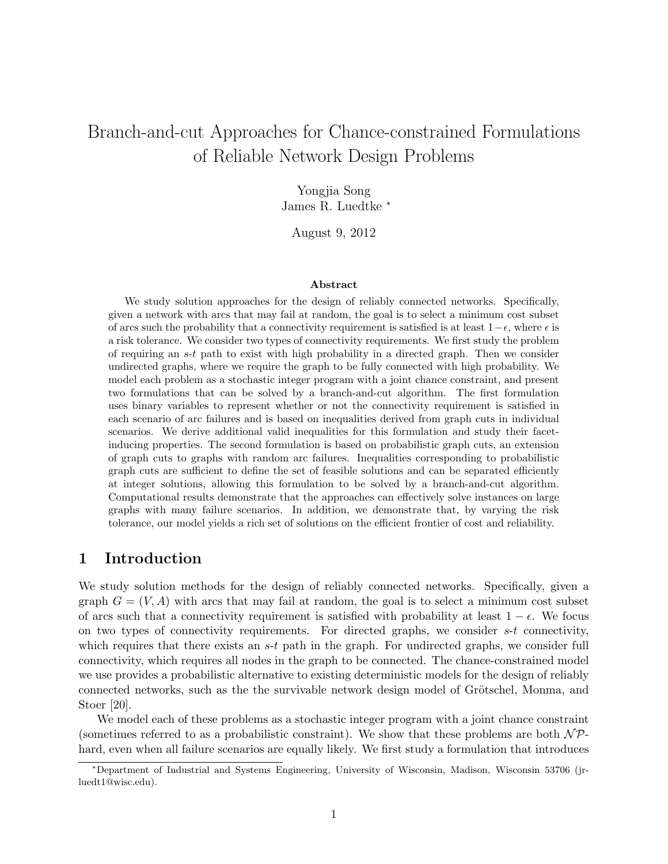# Branch-and-cut Approaches for Chance-constrained Formulations of Reliable Network Design Problems

Yongjia Song James R. Luedtke <sup>∗</sup>

August 9, 2012

#### Abstract

We study solution approaches for the design of reliably connected networks. Specifically, given a network with arcs that may fail at random, the goal is to select a minimum cost subset of arcs such the probability that a connectivity requirement is satisfied is at least  $1-\epsilon$ , where  $\epsilon$  is a risk tolerance. We consider two types of connectivity requirements. We first study the problem of requiring an s-t path to exist with high probability in a directed graph. Then we consider undirected graphs, where we require the graph to be fully connected with high probability. We model each problem as a stochastic integer program with a joint chance constraint, and present two formulations that can be solved by a branch-and-cut algorithm. The first formulation uses binary variables to represent whether or not the connectivity requirement is satisfied in each scenario of arc failures and is based on inequalities derived from graph cuts in individual scenarios. We derive additional valid inequalities for this formulation and study their facetinducing properties. The second formulation is based on probabilistic graph cuts, an extension of graph cuts to graphs with random arc failures. Inequalities corresponding to probabilistic graph cuts are sufficient to define the set of feasible solutions and can be separated efficiently at integer solutions, allowing this formulation to be solved by a branch-and-cut algorithm. Computational results demonstrate that the approaches can effectively solve instances on large graphs with many failure scenarios. In addition, we demonstrate that, by varying the risk tolerance, our model yields a rich set of solutions on the efficient frontier of cost and reliability.

# 1 Introduction

We study solution methods for the design of reliably connected networks. Specifically, given a graph  $G = (V, A)$  with arcs that may fail at random, the goal is to select a minimum cost subset of arcs such that a connectivity requirement is satisfied with probability at least  $1 - \epsilon$ . We focus on two types of connectivity requirements. For directed graphs, we consider  $s-t$  connectivity, which requires that there exists an s-t path in the graph. For undirected graphs, we consider full connectivity, which requires all nodes in the graph to be connected. The chance-constrained model we use provides a probabilistic alternative to existing deterministic models for the design of reliably connected networks, such as the the survivable network design model of Grötschel, Monma, and Stoer [20].

We model each of these problems as a stochastic integer program with a joint chance constraint (sometimes referred to as a probabilistic constraint). We show that these problems are both  $\mathcal{NP}$ hard, even when all failure scenarios are equally likely. We first study a formulation that introduces

<sup>∗</sup>Department of Industrial and Systems Engineering, University of Wisconsin, Madison, Wisconsin 53706 (jrluedt1@wisc.edu).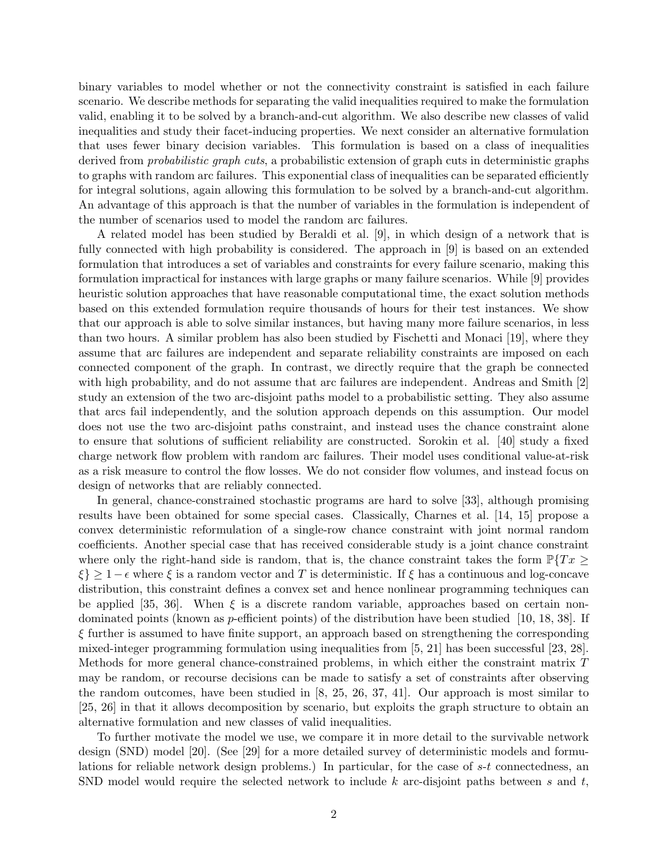binary variables to model whether or not the connectivity constraint is satisfied in each failure scenario. We describe methods for separating the valid inequalities required to make the formulation valid, enabling it to be solved by a branch-and-cut algorithm. We also describe new classes of valid inequalities and study their facet-inducing properties. We next consider an alternative formulation that uses fewer binary decision variables. This formulation is based on a class of inequalities derived from *probabilistic graph cuts*, a probabilistic extension of graph cuts in deterministic graphs to graphs with random arc failures. This exponential class of inequalities can be separated efficiently for integral solutions, again allowing this formulation to be solved by a branch-and-cut algorithm. An advantage of this approach is that the number of variables in the formulation is independent of the number of scenarios used to model the random arc failures.

A related model has been studied by Beraldi et al. [9], in which design of a network that is fully connected with high probability is considered. The approach in [9] is based on an extended formulation that introduces a set of variables and constraints for every failure scenario, making this formulation impractical for instances with large graphs or many failure scenarios. While [9] provides heuristic solution approaches that have reasonable computational time, the exact solution methods based on this extended formulation require thousands of hours for their test instances. We show that our approach is able to solve similar instances, but having many more failure scenarios, in less than two hours. A similar problem has also been studied by Fischetti and Monaci [19], where they assume that arc failures are independent and separate reliability constraints are imposed on each connected component of the graph. In contrast, we directly require that the graph be connected with high probability, and do not assume that arc failures are independent. Andreas and Smith [2] study an extension of the two arc-disjoint paths model to a probabilistic setting. They also assume that arcs fail independently, and the solution approach depends on this assumption. Our model does not use the two arc-disjoint paths constraint, and instead uses the chance constraint alone to ensure that solutions of sufficient reliability are constructed. Sorokin et al. [40] study a fixed charge network flow problem with random arc failures. Their model uses conditional value-at-risk as a risk measure to control the flow losses. We do not consider flow volumes, and instead focus on design of networks that are reliably connected.

In general, chance-constrained stochastic programs are hard to solve [33], although promising results have been obtained for some special cases. Classically, Charnes et al. [14, 15] propose a convex deterministic reformulation of a single-row chance constraint with joint normal random coefficients. Another special case that has received considerable study is a joint chance constraint where only the right-hand side is random, that is, the chance constraint takes the form  $\mathbb{P}\{Tx \geq 0\}$  $\{\xi\} \geq 1-\epsilon$  where  $\xi$  is a random vector and T is deterministic. If  $\xi$  has a continuous and log-concave distribution, this constraint defines a convex set and hence nonlinear programming techniques can be applied [35, 36]. When  $\xi$  is a discrete random variable, approaches based on certain nondominated points (known as  $p$ -efficient points) of the distribution have been studied [10, 18, 38]. If  $\xi$  further is assumed to have finite support, an approach based on strengthening the corresponding mixed-integer programming formulation using inequalities from [5, 21] has been successful [23, 28]. Methods for more general chance-constrained problems, in which either the constraint matrix T may be random, or recourse decisions can be made to satisfy a set of constraints after observing the random outcomes, have been studied in [8, 25, 26, 37, 41]. Our approach is most similar to [25, 26] in that it allows decomposition by scenario, but exploits the graph structure to obtain an alternative formulation and new classes of valid inequalities.

To further motivate the model we use, we compare it in more detail to the survivable network design (SND) model [20]. (See [29] for a more detailed survey of deterministic models and formulations for reliable network design problems.) In particular, for the case of  $s-t$  connectedness, an SND model would require the selected network to include k arc-disjoint paths between s and  $t$ ,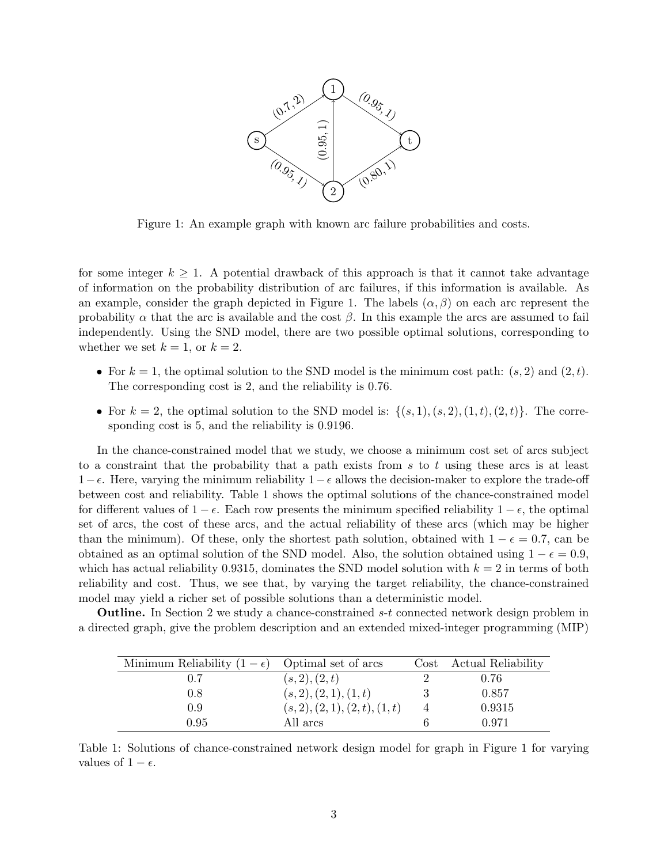

Figure 1: An example graph with known arc failure probabilities and costs.

for some integer  $k \geq 1$ . A potential drawback of this approach is that it cannot take advantage of information on the probability distribution of arc failures, if this information is available. As an example, consider the graph depicted in Figure 1. The labels  $(\alpha, \beta)$  on each arc represent the probability  $\alpha$  that the arc is available and the cost  $\beta$ . In this example the arcs are assumed to fail independently. Using the SND model, there are two possible optimal solutions, corresponding to whether we set  $k = 1$ , or  $k = 2$ .

- For  $k = 1$ , the optimal solution to the SND model is the minimum cost path:  $(s, 2)$  and  $(2, t)$ . The corresponding cost is 2, and the reliability is 0.76.
- For  $k = 2$ , the optimal solution to the SND model is:  $\{(s, 1), (s, 2), (1, t), (2, t)\}.$  The corresponding cost is 5, and the reliability is 0.9196.

In the chance-constrained model that we study, we choose a minimum cost set of arcs subject to a constraint that the probability that a path exists from  $s$  to  $t$  using these arcs is at least  $1-\epsilon$ . Here, varying the minimum reliability  $1-\epsilon$  allows the decision-maker to explore the trade-off between cost and reliability. Table 1 shows the optimal solutions of the chance-constrained model for different values of  $1 - \epsilon$ . Each row presents the minimum specified reliability  $1 - \epsilon$ , the optimal set of arcs, the cost of these arcs, and the actual reliability of these arcs (which may be higher than the minimum). Of these, only the shortest path solution, obtained with  $1 - \epsilon = 0.7$ , can be obtained as an optimal solution of the SND model. Also, the solution obtained using  $1 - \epsilon = 0.9$ , which has actual reliability 0.9315, dominates the SND model solution with  $k = 2$  in terms of both reliability and cost. Thus, we see that, by varying the target reliability, the chance-constrained model may yield a richer set of possible solutions than a deterministic model.

Outline. In Section 2 we study a chance-constrained s-t connected network design problem in a directed graph, give the problem description and an extended mixed-integer programming (MIP)

| Minimum Reliability $(1 - \epsilon)$ Optimal set of arcs |                                | Cost Actual Reliability |
|----------------------------------------------------------|--------------------------------|-------------------------|
| 0.7                                                      | (s, 2), (2, t)                 | 0.76                    |
| 0.8                                                      | (s, 2), (2, 1), (1, t)         | 0.857                   |
| 0.9                                                      | (s, 2), (2, 1), (2, t), (1, t) | 0.9315                  |
| 0.95                                                     | All arcs                       | 0.971                   |

Table 1: Solutions of chance-constrained network design model for graph in Figure 1 for varying values of  $1 - \epsilon$ .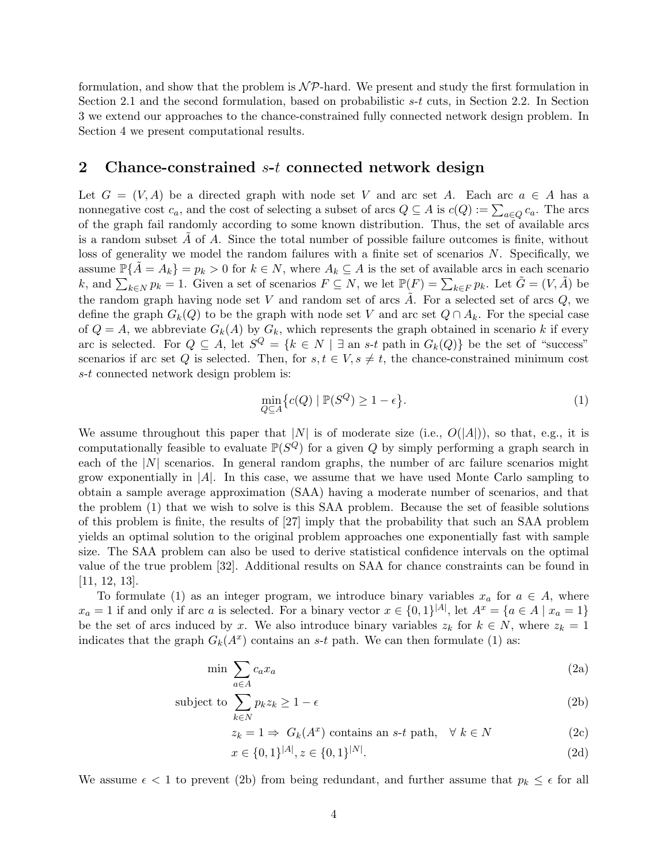formulation, and show that the problem is  $\mathcal{NP}$ -hard. We present and study the first formulation in Section 2.1 and the second formulation, based on probabilistic  $s-t$  cuts, in Section 2.2. In Section 3 we extend our approaches to the chance-constrained fully connected network design problem. In Section 4 we present computational results.

# 2 Chance-constrained s-t connected network design

Let  $G = (V, A)$  be a directed graph with node set V and arc set A. Each arc  $a \in A$  has a nonnegative cost  $c_a$ , and the cost of selecting a subset of arcs  $Q \subseteq A$  is  $c(Q) := \sum_{a \in Q} c_a$ . The arcs of the graph fail randomly according to some known distribution. Thus, the set of available arcs is a random subset  $A$  of  $A$ . Since the total number of possible failure outcomes is finite, without loss of generality we model the random failures with a finite set of scenarios  $N$ . Specifically, we assume  $\mathbb{P}{\{\tilde{A} = A_k\} = p_k > 0 \text{ for } k \in N, \text{ where } A_k \subseteq A \text{ is the set of available arcs in each scenario}$ k, and  $\sum_{k\in N} p_k = 1$ . Given a set of scenarios  $F \subseteq N$ , we let  $\mathbb{P}(F) = \sum_{k\in F} p_k$ . Let  $\tilde{G} = (V, \tilde{A})$  be the random graph having node set V and random set of arcs  $A$ . For a selected set of arcs  $Q$ , we define the graph  $G_k(Q)$  to be the graph with node set V and arc set  $Q \cap A_k$ . For the special case of  $Q = A$ , we abbreviate  $G_k(A)$  by  $G_k$ , which represents the graph obtained in scenario k if every arc is selected. For  $Q \subseteq A$ , let  $S^Q = \{k \in N \mid \exists \text{ an } s\text{-}t \text{ path in } G_k(Q)\}\$  be the set of "success" scenarios if arc set Q is selected. Then, for  $s, t \in V$ ,  $s \neq t$ , the chance-constrained minimum cost s-t connected network design problem is:

$$
\min_{Q \subseteq A} \{c(Q) \mid \mathbb{P}(S^Q) \ge 1 - \epsilon\}.
$$
\n(1)

We assume throughout this paper that |N| is of moderate size (i.e.,  $O(|A|)$ ), so that, e.g., it is computationally feasible to evaluate  $\mathbb{P}(S^Q)$  for a given Q by simply performing a graph search in each of the  $|N|$  scenarios. In general random graphs, the number of arc failure scenarios might grow exponentially in  $|A|$ . In this case, we assume that we have used Monte Carlo sampling to obtain a sample average approximation (SAA) having a moderate number of scenarios, and that the problem (1) that we wish to solve is this SAA problem. Because the set of feasible solutions of this problem is finite, the results of [27] imply that the probability that such an SAA problem yields an optimal solution to the original problem approaches one exponentially fast with sample size. The SAA problem can also be used to derive statistical confidence intervals on the optimal value of the true problem [32]. Additional results on SAA for chance constraints can be found in [11, 12, 13].

To formulate (1) as an integer program, we introduce binary variables  $x_a$  for  $a \in A$ , where  $x_a = 1$  if and only if arc a is selected. For a binary vector  $x \in \{0,1\}^{|A|}$ , let  $A^x = \{a \in A \mid x_a = 1\}$ be the set of arcs induced by x. We also introduce binary variables  $z_k$  for  $k \in N$ , where  $z_k = 1$ indicates that the graph  $G_k(A^x)$  contains an s-t path. We can then formulate (1) as:

$$
\min \sum_{a \in A} c_a x_a \tag{2a}
$$

subject to 
$$
\sum_{k \in N} p_k z_k \ge 1 - \epsilon
$$
 (2b)

 $z_k = 1 \Rightarrow G_k(A^x)$  contains an s-t path,  $\forall k \in N$  (2c)

$$
x \in \{0, 1\}^{|A|}, z \in \{0, 1\}^{|N|}.\tag{2d}
$$

We assume  $\epsilon$  < 1 to prevent (2b) from being redundant, and further assume that  $p_k \leq \epsilon$  for all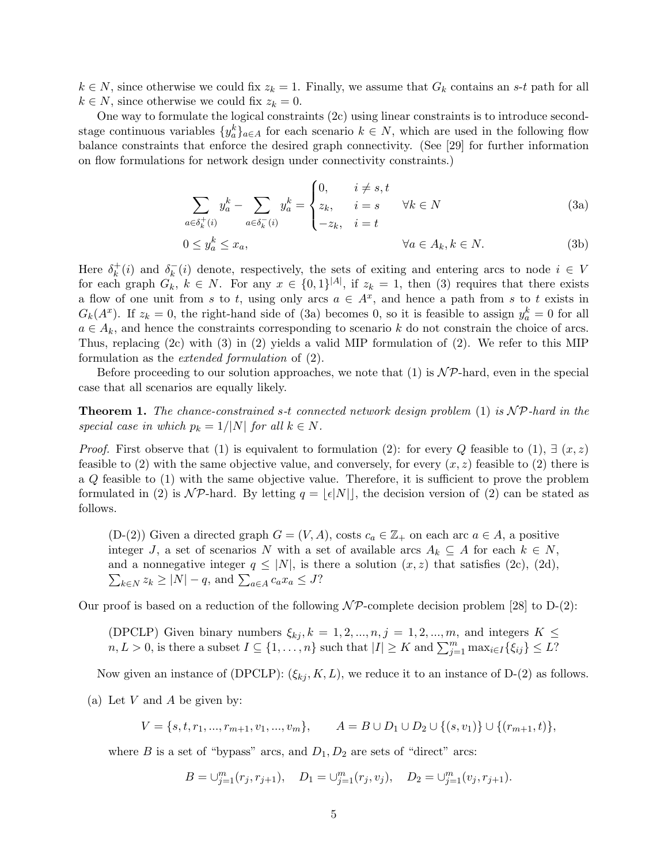$k \in N$ , since otherwise we could fix  $z_k = 1$ . Finally, we assume that  $G_k$  contains an s-t path for all  $k \in N$ , since otherwise we could fix  $z_k = 0$ .

One way to formulate the logical constraints (2c) using linear constraints is to introduce secondstage continuous variables  $\{y_a^k\}_{a \in A}$  for each scenario  $k \in N$ , which are used in the following flow balance constraints that enforce the desired graph connectivity. (See [29] for further information on flow formulations for network design under connectivity constraints.)

$$
\sum_{a \in \delta_k^+(i)} y_a^k - \sum_{a \in \delta_k^-(i)} y_a^k = \begin{cases} 0, & i \neq s, t \\ z_k, & i = s \\ -z_k, & i = t \end{cases} \quad \forall k \in N \tag{3a}
$$

$$
0 \le y_a^k \le x_a,\qquad \qquad \forall a \in A_k, k \in N.
$$
\n(3b)

Here  $\delta_k^+$  $_{k}^{+}(i)$  and  $_{\delta_{k}^{-}}$  $\overline{k}(i)$  denote, respectively, the sets of exiting and entering arcs to node  $i \in V$ for each graph  $G_k$ ,  $k \in N$ . For any  $x \in \{0,1\}^{|A|}$ , if  $z_k = 1$ , then (3) requires that there exists a flow of one unit from s to t, using only arcs  $a \in A^x$ , and hence a path from s to t exists in  $G_k(A^x)$ . If  $z_k = 0$ , the right-hand side of (3a) becomes 0, so it is feasible to assign  $y_a^k = 0$  for all  $a \in A_k$ , and hence the constraints corresponding to scenario k do not constrain the choice of arcs. Thus, replacing (2c) with (3) in (2) yields a valid MIP formulation of (2). We refer to this MIP formulation as the extended formulation of (2).

Before proceeding to our solution approaches, we note that (1) is  $N\mathcal{P}$ -hard, even in the special case that all scenarios are equally likely.

**Theorem 1.** The chance-constrained s-t connected network design problem (1) is  $\mathcal{NP}$ -hard in the special case in which  $p_k = 1/|N|$  for all  $k \in N$ .

*Proof.* First observe that (1) is equivalent to formulation (2): for every Q feasible to (1),  $\exists (x, z)$ feasible to (2) with the same objective value, and conversely, for every  $(x, z)$  feasible to (2) there is a Q feasible to (1) with the same objective value. Therefore, it is sufficient to prove the problem formulated in (2) is  $\mathcal{NP}$ -hard. By letting  $q = |\epsilon|N||$ , the decision version of (2) can be stated as follows.

(D-(2)) Given a directed graph  $G = (V, A)$ , costs  $c_a \in \mathbb{Z}_+$  on each arc  $a \in A$ , a positive integer J, a set of scenarios N with a set of available arcs  $A_k \subseteq A$  for each  $k \in N$ , and a nonnegative integer  $q \leq |N|$ , is there a solution  $(x, z)$  that satisfies  $(2c)$ ,  $(2d)$ ,  $\sum_{k \in N} z_k \ge |N| - q$ , and  $\sum_{a \in A} c_a x_a \le J$ ?

Our proof is based on a reduction of the following  $\mathcal{NP}$ -complete decision problem [28] to D-(2):

(DPCLP) Given binary numbers  $\xi_{kj}$ ,  $k = 1, 2, ..., n, j = 1, 2, ..., m$ , and integers  $K \leq$  $n, L > 0$ , is there a subset  $I \subseteq \{1, ..., n\}$  such that  $|I| \geq K$  and  $\sum_{j=1}^{m} \max_{i \in I} {\{\xi_{ij}\}} \leq L$ ?

Now given an instance of (DPCLP):  $(\xi_{kj}, K, L)$ , we reduce it to an instance of D-(2) as follows.

(a) Let  $V$  and  $A$  be given by:

$$
V = \{s, t, r_1, ..., r_{m+1}, v_1, ..., v_m\}, \qquad A = B \cup D_1 \cup D_2 \cup \{(s, v_1)\} \cup \{(r_{m+1}, t)\},
$$

where B is a set of "bypass" arcs, and  $D_1, D_2$  are sets of "direct" arcs:

$$
B=\cup_{j=1}^m (r_j,r_{j+1}), \quad D_1=\cup_{j=1}^m (r_j,v_j), \quad D_2=\cup_{j=1}^m (v_j,r_{j+1}).
$$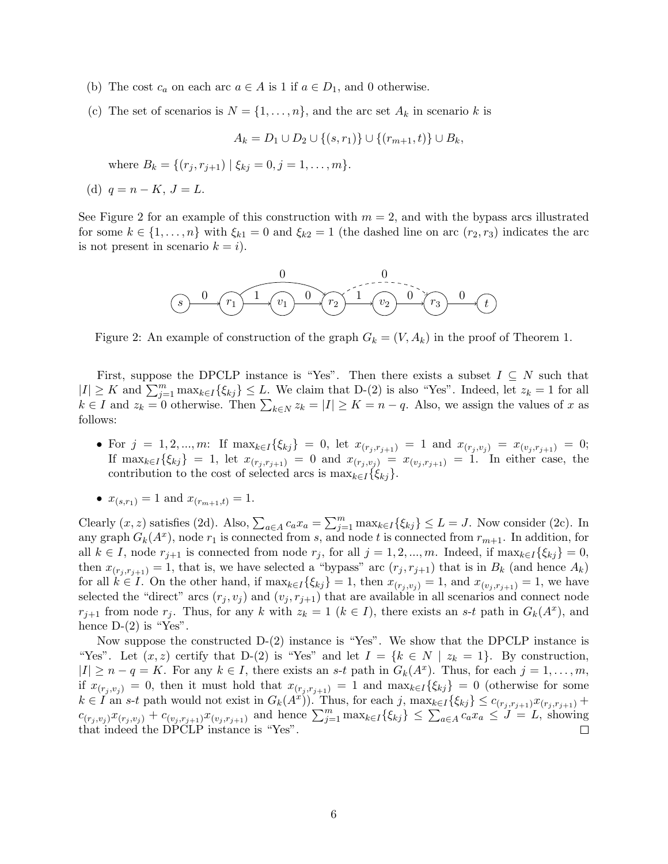- (b) The cost  $c_a$  on each arc  $a \in A$  is 1 if  $a \in D_1$ , and 0 otherwise.
- (c) The set of scenarios is  $N = \{1, \ldots, n\}$ , and the arc set  $A_k$  in scenario k is

$$
A_k = D_1 \cup D_2 \cup \{(s, r_1)\} \cup \{(r_{m+1}, t)\} \cup B_k,
$$

where  $B_k = \{(r_j, r_{j+1}) \mid \xi_{ki} = 0, j = 1, \ldots, m\}.$ 

(d) 
$$
q = n - K, J = L.
$$

See Figure 2 for an example of this construction with  $m = 2$ , and with the bypass arcs illustrated for some  $k \in \{1, \ldots, n\}$  with  $\xi_{k1} = 0$  and  $\xi_{k2} = 1$  (the dashed line on arc  $(r_2, r_3)$  indicates the arc is not present in scenario  $k = i$ .



Figure 2: An example of construction of the graph  $G_k = (V, A_k)$  in the proof of Theorem 1.

First, suppose the DPCLP instance is "Yes". Then there exists a subset  $I \subseteq N$  such that  $|I| \geq K$  and  $\sum_{j=1}^{m} \max_{k \in I} {\{\xi_{kj}\}} \leq L$ . We claim that D-(2) is also "Yes". Indeed, let  $z_k = 1$  for all  $k \in I$  and  $z_k = 0$  otherwise. Then  $\sum_{k \in N} z_k = |I| \ge K = n - q$ . Also, we assign the values of x as follows:

- For  $j = 1, 2, ..., m$ : If  $\max_{k \in I} {\{\xi_{kj}\}} = 0$ , let  $x_{(r_j, r_{j+1})} = 1$  and  $x_{(r_j, v_j)} = x_{(v_j, r_{j+1})} = 0$ ; If  $\max_{k \in I} {\{\xi_{kj}\}} = 1$ , let  $x_{(r_j, r_{j+1})} = 0$  and  $x_{(r_j, v_j)} = x_{(v_j, r_{j+1})} = 1$ . In either case, the contribution to the cost of selected arcs is  $\max_{k \in I} {\{\xi_{ki}\}}$ .
- $x_{(s,r_1)} = 1$  and  $x_{(r_{m+1},t)} = 1$ .

Clearly  $(x, z)$  satisfies (2d). Also,  $\sum_{a \in A} c_a x_a = \sum_{j=1}^m \max_{k \in I} {\{\xi_{kj}\}} \le L = J$ . Now consider (2c). In any graph  $G_k(A^x)$ , node  $r_1$  is connected from s, and node t is connected from  $r_{m+1}$ . In addition, for all  $k \in I$ , node  $r_{j+1}$  is connected from node  $r_j$ , for all  $j = 1, 2, ..., m$ . Indeed, if  $\max_{k \in I} {\{\xi_{kj}\}} = 0$ , then  $x_{(r_i, r_{i+1})} = 1$ , that is, we have selected a "bypass" arc  $(r_j, r_{j+1})$  that is in  $B_k$  (and hence  $A_k$ ) for all  $k \in I$ . On the other hand, if  $\max_{k \in I} {\{\xi_{kj}\}} = 1$ , then  $x_{(r_j, v_j)} = 1$ , and  $x_{(v_j, r_{j+1})} = 1$ , we have selected the "direct" arcs  $(r_i, v_j)$  and  $(v_i, r_{j+1})$  that are available in all scenarios and connect node  $r_{j+1}$  from node  $r_j$ . Thus, for any k with  $z_k = 1$  ( $k \in I$ ), there exists an s-t path in  $G_k(A^x)$ , and hence  $D-(2)$  is "Yes".

Now suppose the constructed D-(2) instance is "Yes". We show that the DPCLP instance is "Yes". Let  $(x, z)$  certify that D-(2) is "Yes" and let  $I = \{k \in N \mid z_k = 1\}$ . By construction,  $|I| \geq n - q = K$ . For any  $k \in I$ , there exists an s-t path in  $G_k(A^x)$ . Thus, for each  $j = 1, ..., m$ , if  $x_{(r_j, v_j)} = 0$ , then it must hold that  $x_{(r_j, r_{j+1})} = 1$  and  $\max_{k \in I} {\{\xi_{kj}\}} = 0$  (otherwise for some  $k \in I$  an s-t path would not exist in  $G_k(A^x)$ ). Thus, for each j,  $\max_{k \in I} {\{\xi_{kj}\}} \leq c_{(r_j, r_{j+1})} x_{(r_j, r_{j+1})} +$  $c_{(r_j, v_j)} x_{(r_j, v_j)} + c_{(v_j, r_{j+1})} x_{(v_j, r_{j+1})}$  and hence  $\sum_{j=1}^m \max_{k \in I} {\{\xi_{kj}\}} \leq \sum_{a \in A} c_a x_a \leq J = L$ , showing that indeed the DPCLP instance is "Yes".  $\Box$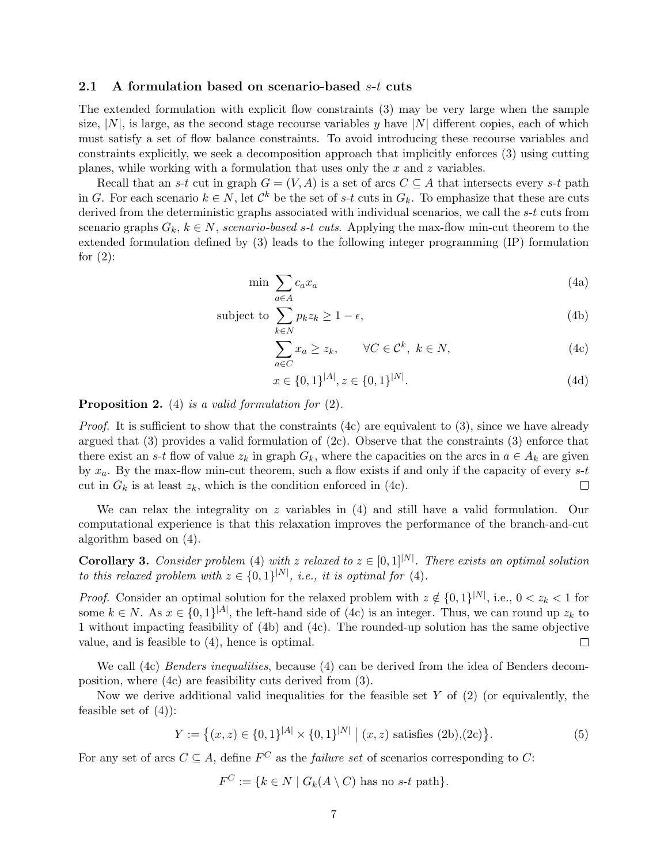## 2.1 A formulation based on scenario-based  $s-t$  cuts

The extended formulation with explicit flow constraints (3) may be very large when the sample size,  $|N|$ , is large, as the second stage recourse variables y have  $|N|$  different copies, each of which must satisfy a set of flow balance constraints. To avoid introducing these recourse variables and constraints explicitly, we seek a decomposition approach that implicitly enforces (3) using cutting planes, while working with a formulation that uses only the  $x$  and  $z$  variables.

Recall that an s-t cut in graph  $G = (V, A)$  is a set of arcs  $C \subseteq A$  that intersects every s-t path in G. For each scenario  $k \in N$ , let  $\mathcal{C}^k$  be the set of s-t cuts in  $G_k$ . To emphasize that these are cuts derived from the deterministic graphs associated with individual scenarios, we call the s-t cuts from scenario graphs  $G_k$ ,  $k \in N$ , scenario-based s-t cuts. Applying the max-flow min-cut theorem to the extended formulation defined by (3) leads to the following integer programming (IP) formulation for  $(2)$ :

$$
\min \sum_{a \in A} c_a x_a \tag{4a}
$$

subject to 
$$
\sum_{k \in N} p_k z_k \ge 1 - \epsilon,
$$
 (4b)

$$
\sum_{a \in C} x_a \ge z_k, \qquad \forall C \in \mathcal{C}^k, \ k \in N,
$$
\n(4c)

$$
x \in \{0, 1\}^{|A|}, z \in \{0, 1\}^{|N|}.
$$
\n(4d)

#### **Proposition 2.** (4) is a valid formulation for  $(2)$ .

*Proof.* It is sufficient to show that the constraints  $(4c)$  are equivalent to  $(3)$ , since we have already argued that  $(3)$  provides a valid formulation of  $(2c)$ . Observe that the constraints  $(3)$  enforce that there exist an s-t flow of value  $z_k$  in graph  $G_k$ , where the capacities on the arcs in  $a \in A_k$  are given by  $x_a$ . By the max-flow min-cut theorem, such a flow exists if and only if the capacity of every  $s-t$ cut in  $G_k$  is at least  $z_k$ , which is the condition enforced in (4c).  $\Box$ 

We can relax the integrality on  $z$  variables in  $(4)$  and still have a valid formulation. Our computational experience is that this relaxation improves the performance of the branch-and-cut algorithm based on (4).

**Corollary 3.** Consider problem (4) with z relaxed to  $z \in [0,1]^{|N|}$ . There exists an optimal solution to this relaxed problem with  $z \in \{0,1\}^{|N|}$ , i.e., it is optimal for (4).

*Proof.* Consider an optimal solution for the relaxed problem with  $z \notin \{0, 1\}^{|N|}$ , i.e.,  $0 < z_k < 1$  for some  $k \in N$ . As  $x \in \{0,1\}^{|A|}$ , the left-hand side of (4c) is an integer. Thus, we can round up  $z_k$  to 1 without impacting feasibility of (4b) and (4c). The rounded-up solution has the same objective value, and is feasible to (4), hence is optimal.  $\Box$ 

We call (4c) *Benders inequalities*, because (4) can be derived from the idea of Benders decomposition, where (4c) are feasibility cuts derived from (3).

Now we derive additional valid inequalities for the feasible set  $Y$  of  $(2)$  (or equivalently, the feasible set of  $(4)$ :

$$
Y := \left\{ (x, z) \in \{0, 1\}^{|A|} \times \{0, 1\}^{|N|} \mid (x, z) \text{ satisfies (2b), (2c)} \right\}.
$$
 (5)

For any set of arcs  $C \subseteq A$ , define  $F^C$  as the *failure set* of scenarios corresponding to C:

 $F^C := \{ k \in N \mid G_k(A \setminus C) \text{ has no } s\text{-}t \text{ path} \}.$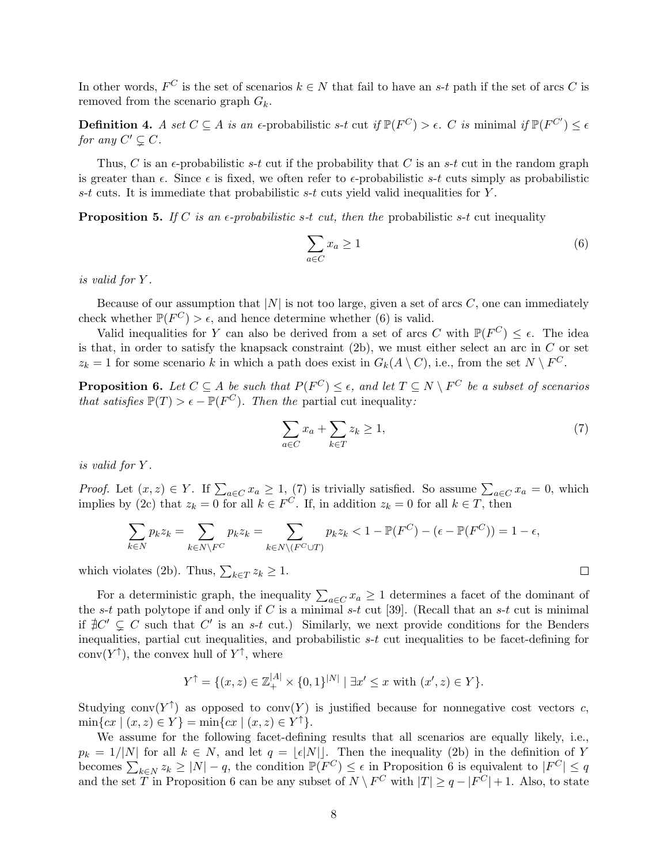In other words,  $F^C$  is the set of scenarios  $k \in N$  that fail to have an s-t path if the set of arcs C is removed from the scenario graph  $G_k$ .

**Definition 4.** A set  $C \subseteq A$  is an  $\epsilon$ -probabilistic s-t cut if  $\mathbb{P}(F^C) > \epsilon$ . C is minimal if  $\mathbb{P}(F^{C'}) \leq \epsilon$ for any  $C' \subsetneq C$ .

Thus, C is an  $\epsilon$ -probabilistic s-t cut if the probability that C is an s-t cut in the random graph is greater than  $\epsilon$ . Since  $\epsilon$  is fixed, we often refer to  $\epsilon$ -probabilistic s-t cuts simply as probabilistic s-t cuts. It is immediate that probabilistic s-t cuts yield valid inequalities for  $Y$ .

**Proposition 5.** If C is an  $\epsilon$ -probabilistic s-t cut, then the probabilistic s-t cut inequality

$$
\sum_{a \in C} x_a \ge 1 \tag{6}
$$

is valid for Y .

Because of our assumption that  $|N|$  is not too large, given a set of arcs  $C$ , one can immediately check whether  $\mathbb{P}(F^C) > \epsilon$ , and hence determine whether (6) is valid.

Valid inequalities for Y can also be derived from a set of arcs C with  $\mathbb{P}(F^C) \leq \epsilon$ . The idea is that, in order to satisfy the knapsack constraint  $(2b)$ , we must either select an arc in  $C$  or set  $z_k = 1$  for some scenario k in which a path does exist in  $G_k(A \setminus C)$ , i.e., from the set  $N \setminus F^C$ .

**Proposition 6.** Let  $C \subseteq A$  be such that  $P(F^C) \le \epsilon$ , and let  $T \subseteq N \setminus F^C$  be a subset of scenarios that satisfies  $\mathbb{P}(T) > \epsilon - \mathbb{P}(F^C)$ . Then the partial cut inequality:

$$
\sum_{a \in C} x_a + \sum_{k \in T} z_k \ge 1,\tag{7}
$$

 $\Box$ 

is valid for Y .

*Proof.* Let  $(x, z) \in Y$ . If  $\sum_{a \in C} x_a \ge 1$ , (7) is trivially satisfied. So assume  $\sum_{a \in C} x_a = 0$ , which implies by (2c) that  $z_k = 0$  for all  $k \in F^C$ . If, in addition  $z_k = 0$  for all  $k \in T$ , then

$$
\sum_{k \in N} p_k z_k = \sum_{k \in N \setminus F^C} p_k z_k = \sum_{k \in N \setminus (F^C \cup T)} p_k z_k < 1 - \mathbb{P}(F^C) - (\epsilon - \mathbb{P}(F^C)) = 1 - \epsilon,
$$

which violates (2b). Thus,  $\sum_{k \in T} z_k \geq 1$ .

For a deterministic graph, the inequality  $\sum_{a \in C} x_a \ge 1$  determines a facet of the dominant of the s-t path polytope if and only if C is a minimal s-t cut [39]. (Recall that an s-t cut is minimal if  $\exists C' \subseteq C$  such that C' is an s-t cut.) Similarly, we next provide conditions for the Benders inequalities, partial cut inequalities, and probabilistic  $s-t$  cut inequalities to be facet-defining for conv $(Y^{\uparrow})$ , the convex hull of  $Y^{\uparrow}$ , where

$$
Y^{\uparrow} = \{ (x, z) \in \mathbb{Z}_+^{|A|} \times \{0, 1\}^{|N|} \mid \exists x' \le x \text{ with } (x', z) \in Y \}.
$$

Studying conv $(Y^{\uparrow})$  as opposed to conv $(Y)$  is justified because for nonnegative cost vectors c,  $\min\{cx \mid (x, z) \in Y\} = \min\{cx \mid (x, z) \in Y^{\uparrow}\}.$ 

We assume for the following facet-defining results that all scenarios are equally likely, i.e.,  $p_k = 1/|N|$  for all  $k \in N$ , and let  $q = \lfloor \epsilon |N| \rfloor$ . Then the inequality (2b) in the definition of Y becomes  $\sum_{k\in\mathbb{N}}z_k\geq |N|-q$ , the condition  $\mathbb{P}(F^C)\leq \epsilon$  in Proposition 6 is equivalent to  $|F^C|\leq q$ and the set T in Proposition 6 can be any subset of  $N \setminus F^C$  with  $|T| \ge q - |F^C| + 1$ . Also, to state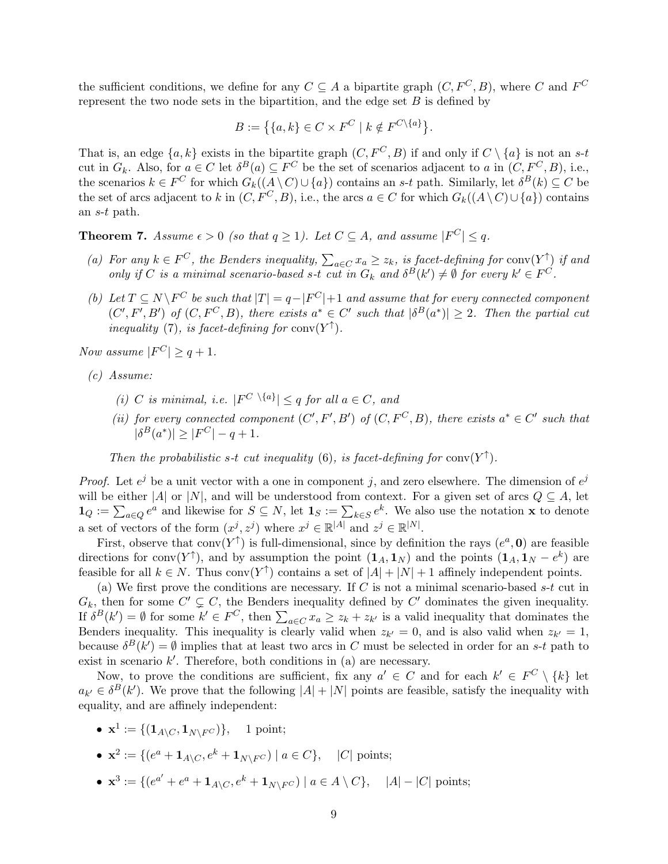the sufficient conditions, we define for any  $C \subseteq A$  a bipartite graph  $(C, F^C, B)$ , where C and  $F^C$ represent the two node sets in the bipartition, and the edge set  $B$  is defined by

$$
B := \{ \{a, k\} \in C \times F^C \mid k \notin F^{C \setminus \{a\}} \}.
$$

That is, an edge  $\{a, k\}$  exists in the bipartite graph  $(C, F^C, B)$  if and only if  $C \setminus \{a\}$  is not an s-t cut in  $G_k$ . Also, for  $a \in C$  let  $\delta^B(a) \subseteq F^C$  be the set of scenarios adjacent to a in  $(C, F^C, B)$ , i.e., the scenarios  $k \in F^C$  for which  $G_k((A \setminus C) \cup \{a\})$  contains an s-t path. Similarly, let  $\delta^B(k) \subseteq C$  be the set of arcs adjacent to k in  $(C, F^C, B)$ , i.e., the arcs  $a \in C$  for which  $G_k((A \setminus C) \cup \{a\})$  contains an s-t path.

**Theorem 7.** Assume  $\epsilon > 0$  (so that  $q \ge 1$ ). Let  $C \subseteq A$ , and assume  $|F^C| \le q$ .

- (a) For any  $k \in F^C$ , the Benders inequality,  $\sum_{a \in C} x_a \geq z_k$ , is facet-defining for conv $(Y^{\uparrow})$  if and only if C is a minimal scenario-based s-t cut in  $G_k$  and  $\delta^B(k') \neq \emptyset$  for every  $k' \in F^C$ .
- (b) Let  $T \subseteq N \backslash F^C$  be such that  $|T| = q |F^C| + 1$  and assume that for every connected component  $(C', F', B')$  of  $(C, F^C, B)$ , there exists  $a^* \in C'$  such that  $|\delta^B(a^*)| \geq 2$ . Then the partial cut inequality (7), is facet-defining for conv $(Y^{\uparrow})$ .

Now assume  $|F^C| \geq q+1$ .

- (c) Assume:
	- (i) C is minimal, i.e.  $|F^C \setminus \{a\}| \leq q$  for all  $a \in C$ , and
	- (ii) for every connected component  $(C', F', B')$  of  $(C, F^C, B)$ , there exists  $a^* \in C'$  such that  $|\delta^B(a^*)| \geq |F^C| - q + 1.$

Then the probabilistic s-t cut inequality (6), is facet-defining for conv $(Y^{\uparrow})$ .

*Proof.* Let  $e^j$  be a unit vector with a one in component j, and zero elsewhere. The dimension of  $e^j$ will be either |A| or |N|, and will be understood from context. For a given set of arcs  $Q \subseteq A$ , let  $\mathbf{1}_Q := \sum_{a \in Q} e^a$  and likewise for  $S \subseteq N$ , let  $\mathbf{1}_S := \sum_{k \in S} e^k$ . We also use the notation **x** to denote a set of vectors of the form  $(x^j, z^j)$  where  $x^j \in \mathbb{R}^{|A|}$  and  $z^j \in \mathbb{R}^{|N|}$ .

First, observe that conv $(Y^{\uparrow})$  is full-dimensional, since by definition the rays  $(e^a, 0)$  are feasible directions for conv $(Y^{\uparrow})$ , and by assumption the point  $(1_A, 1_N)$  and the points  $(1_A, 1_N - e^k)$  are feasible for all  $k \in N$ . Thus conv $(Y^{\uparrow})$  contains a set of  $|A| + |N| + 1$  affinely independent points.

(a) We first prove the conditions are necessary. If C is not a minimal scenario-based  $s-t$  cut in  $G_k$ , then for some  $C' \subsetneq C$ , the Benders inequality defined by  $C'$  dominates the given inequality. If  $\delta^B(k') = \emptyset$  for some  $k' \in F^C$ , then  $\sum_{a \in C} x_a \geq z_k + z_{k'}$  is a valid inequality that dominates the Benders inequality. This inequality is clearly valid when  $z_{k'} = 0$ , and is also valid when  $z_{k'} = 1$ , because  $\delta^{B}(k') = \emptyset$  implies that at least two arcs in C must be selected in order for an s-t path to exist in scenario  $k'$ . Therefore, both conditions in  $(a)$  are necessary.

Now, to prove the conditions are sufficient, fix any  $a' \in C$  and for each  $k' \in F^C \setminus \{k\}$  let  $a_{k'} \in \delta^B(k')$ . We prove that the following  $|A| + |N|$  points are feasible, satisfy the inequality with equality, and are affinely independent:

•  $\mathbf{x}^1 := \{(\mathbf{1}_{A\setminus C}, \mathbf{1}_{N\setminus F^C})\}, \quad \text{1 point};$ 

• 
$$
\mathbf{x}^2 := \{ (e^a + \mathbf{1}_{A \setminus C}, e^k + \mathbf{1}_{N \setminus F^C}) \mid a \in C \}, \quad |C| \text{ points};
$$

•  $\mathbf{x}^3 := \{ (e^{a'} + e^a + \mathbf{1}_{A \setminus C}, e^k + \mathbf{1}_{N \setminus F^C}) \mid a \in A \setminus C \}, \quad |A| - |C| \text{ points};$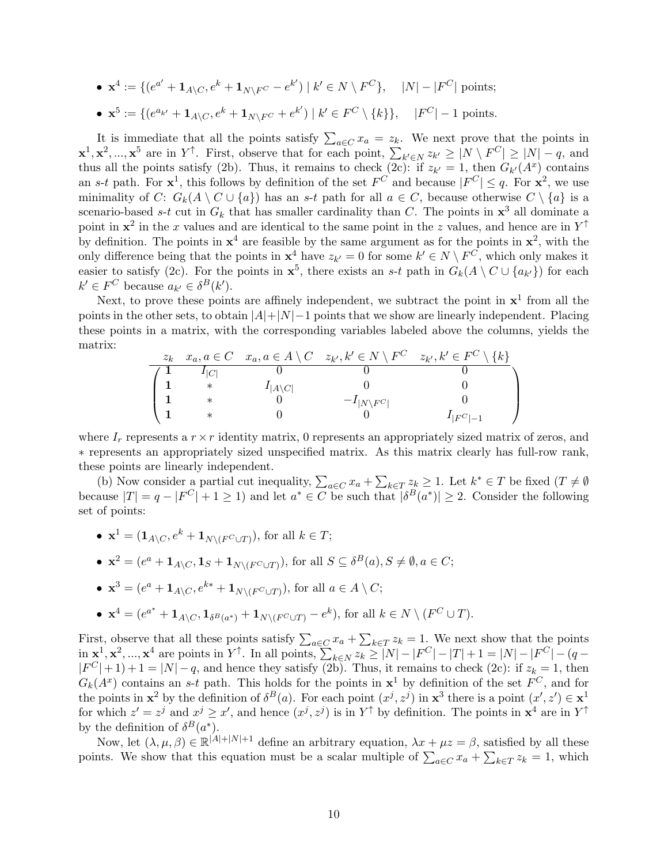• 
$$
\mathbf{x}^4 := \{ (e^{a'} + \mathbf{1}_{A \setminus C}, e^k + \mathbf{1}_{N \setminus F^C} - e^{k'}) \mid k' \in N \setminus F^C \}, |N| - |F^C| \text{ points};
$$
  
\n•  $\mathbf{x}^5 := \{ (e^{a_{k'}} + \mathbf{1}_{A \setminus C}, e^k + \mathbf{1}_{N \setminus F^C} + e^{k'}) \mid k' \in F^C \setminus \{k\} \}, |F^C| - 1 \text{ points.}$ 

It is immediate that all the points satisfy  $\sum_{a \in C} x_a = z_k$ . We next prove that the points in  $\mathbf{x}^1, \mathbf{x}^2, ..., \mathbf{x}^5$  are in Y<sup> $\uparrow$ </sup>. First, observe that for each point,  $\sum_{k' \in N} z_{k'} \ge |N \setminus F^C| \ge |N| - q$ , and thus all the points satisfy (2b). Thus, it remains to check (2c): if  $z_{k'} = 1$ , then  $G_{k'}(A^x)$  contains an s-t path. For  $x^1$ , this follows by definition of the set  $F^C$  and because  $|F^C| \leq q$ . For  $x^2$ , we use minimality of C:  $G_k(A \setminus C \cup \{a\})$  has an s-t path for all  $a \in C$ , because otherwise  $C \setminus \{a\}$  is a scenario-based s-t cut in  $G_k$  that has smaller cardinality than C. The points in  $\mathbf{x}^3$  all dominate a point in  $x^2$  in the x values and are identical to the same point in the z values, and hence are in  $Y^{\uparrow}$ by definition. The points in  $x^4$  are feasible by the same argument as for the points in  $x^2$ , with the only difference being that the points in  $x^4$  have  $z_{k'} = 0$  for some  $k' \in N \setminus F^C$ , which only makes it easier to satisfy (2c). For the points in  $\mathbf{x}^5$ , there exists an s-t path in  $G_k(A \setminus C \cup \{a_{k'}\})$  for each  $k' \in F^C$  because  $a_{k'} \in \delta^B(k')$ .

Next, to prove these points are affinely independent, we subtract the point in  $x^1$  from all the points in the other sets, to obtain  $|A|+|N|-1$  points that we show are linearly independent. Placing these points in a matrix, with the corresponding variables labeled above the columns, yields the matrix:

$$
\begin{array}{c|ccccc}\nz_k & x_a, a \in C & x_a, a \in A \setminus C & z_{k'}, k' \in N \setminus F^C & z_{k'}, k' \in F^C \setminus \{k\} \\
\hline\n\begin{pmatrix}\n1 & I_{|C|} & 0 & 0 & 0 \\
1 & * & I_{|A \setminus C|} & 0 & 0 \\
1 & * & 0 & -I_{|N \setminus F^C|} & 0 \\
1 & * & 0 & 0 & I_{|F^C|-1}\n\end{pmatrix}\n\end{array}
$$

where  $I_r$  represents a  $r \times r$  identity matrix, 0 represents an appropriately sized matrix of zeros, and ∗ represents an appropriately sized unspecified matrix. As this matrix clearly has full-row rank, these points are linearly independent.

(b) Now consider a partial cut inequality,  $\sum_{a \in C} x_a + \sum_{k \in T} z_k \geq 1$ . Let  $k^* \in T$  be fixed  $(T \neq \emptyset)$ because  $|T| = q - |F^C| + 1 \ge 1$  and let  $a^* \in C$  be such that  $|\delta^B(a^*)| \ge 2$ . Consider the following set of points:

•  $\mathbf{x}^1 = (\mathbf{1}_{A \setminus C}, e^k + \mathbf{1}_{N \setminus (F^C \cup T)})$ , for all  $k \in T$ ; •  $\mathbf{x}^2 = (e^a + \mathbf{1}_{A \setminus C}, \mathbf{1}_S + \mathbf{1}_{N \setminus (F^C \cup T)})$ , for all  $S \subseteq \delta^B(a)$ ,  $S \neq \emptyset$ ,  $a \in C$ ; •  $\mathbf{x}^3 = (e^a + \mathbf{1}_{A \setminus C}, e^{k*} + \mathbf{1}_{N \setminus (F^C \cup T)})$ , for all  $a \in A \setminus C$ ;

• 
$$
\mathbf{x}^4 = (e^{a^*} + \mathbf{1}_{A \setminus C}, \mathbf{1}_{\delta^B(a^*)} + \mathbf{1}_{N \setminus (F^C \cup T)} - e^k), \text{ for all } k \in N \setminus (F^C \cup T).
$$

First, observe that all these points satisfy  $\sum_{a \in C} x_a + \sum_{k \in T} z_k = 1$ . We next show that the points in  $\mathbf{x}^1, \mathbf{x}^2, ..., \mathbf{x}^4$  are points in Y<sup>†</sup>. In all points,  $\sum_{k \in N} z_k \ge |N| - |F^C| - |T| + 1 = |N| - |F^C| - (q - 1)$  $|F^C|+1\rangle+1=|N|-q$ , and hence they satisfy (2b). Thus, it remains to check (2c): if  $z_k=1$ , then  $G_k(A^x)$  contains an s-t path. This holds for the points in  $x^1$  by definition of the set  $F^C$ , and for the points in  $\mathbf{x}^2$  by the definition of  $\delta^B(a)$ . For each point  $(x^j, z^j)$  in  $\mathbf{x}^3$  there is a point  $(x', z') \in \mathbf{x}^1$ for which  $z' = z^j$  and  $x^j \ge x'$ , and hence  $(x^j, z^j)$  is in Y<sup> $\uparrow$ </sup> by definition. The points in  $\mathbf{x}^4$  are in Y<sup> $\uparrow$ </sup> by the definition of  $\delta^B(a^*)$ .

Now, let  $(\lambda, \mu, \beta) \in \mathbb{R}^{|A|+|N|+1}$  define an arbitrary equation,  $\lambda x + \mu z = \beta$ , satisfied by all these points. We show that this equation must be a scalar multiple of  $\sum_{a \in C} x_a + \sum_{k \in T} z_k = 1$ , which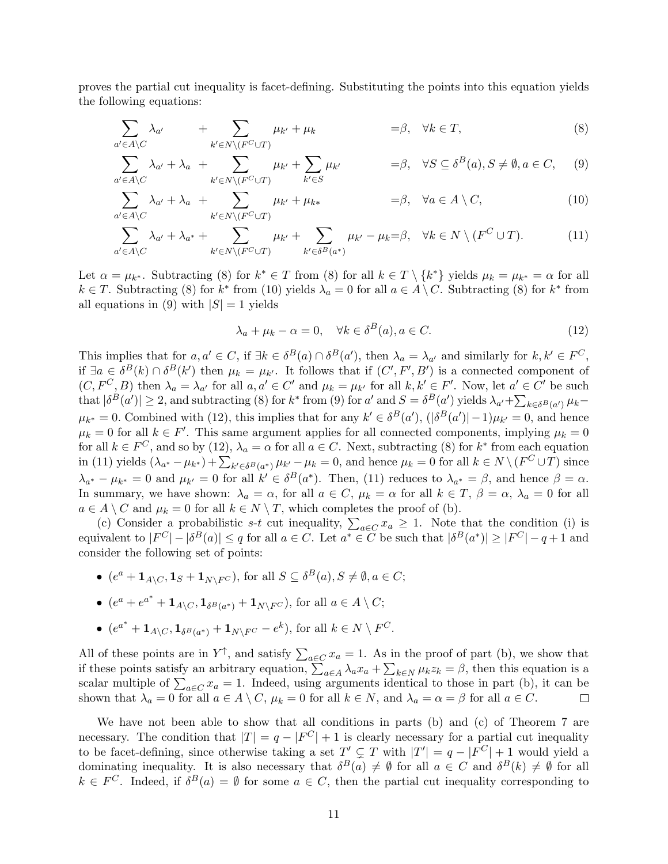proves the partial cut inequality is facet-defining. Substituting the points into this equation yields the following equations:

$$
\sum_{k' \in A \setminus C} \lambda_{a'} \qquad + \sum_{k' \in N \setminus (F^C \cup T)} \mu_{k'} + \mu_k \qquad \qquad = \beta, \quad \forall k \in T,
$$
\n
$$
(8)
$$

$$
\sum_{a' \in A \setminus C} \lambda_{a'} + \lambda_a + \sum_{k' \in N \setminus (F^C \cup T)} \mu_{k'} + \sum_{k' \in S} \mu_{k'} \qquad \qquad = \beta, \quad \forall S \subseteq \delta^B(a), S \neq \emptyset, a \in C, \tag{9}
$$

$$
\sum_{a' \in A \setminus C} \lambda_{a'} + \lambda_a + \sum_{k' \in N \setminus (F^C \cup T)} \mu_{k'} + \mu_{k*} = \beta, \quad \forall a \in A \setminus C,
$$
\n(10)

$$
\sum_{a' \in A \backslash C} \lambda_{a'} + \lambda_{a^*} + \sum_{k' \in N \backslash (F^C \cup T)} \mu_{k'} + \sum_{k' \in \delta^B(a^*)} \mu_{k'} - \mu_k = \beta, \quad \forall k \in N \backslash (F^C \cup T). \tag{11}
$$

Let  $\alpha = \mu_{k^*}$ . Subtracting (8) for  $k^* \in T$  from (8) for all  $k \in T \setminus \{k^*\}$  yields  $\mu_k = \mu_{k^*} = \alpha$  for all  $k \in T$ . Subtracting (8) for  $k^*$  from (10) yields  $\lambda_a = 0$  for all  $a \in A \setminus C$ . Subtracting (8) for  $k^*$  from all equations in (9) with  $|S| = 1$  yields

$$
\lambda_a + \mu_k - \alpha = 0, \quad \forall k \in \delta^B(a), a \in C.
$$
\n
$$
(12)
$$

This implies that for  $a, a' \in C$ , if  $\exists k \in \delta^B(a) \cap \delta^B(a')$ , then  $\lambda_a = \lambda_{a'}$  and similarly for  $k, k' \in F^C$ , if  $\exists a \in \delta^B(k) \cap \delta^B(k')$  then  $\mu_k = \mu_{k'}$ . It follows that if  $(C', F', B')$  is a connected component of  $(C, F^C, B)$  then  $\lambda_a = \lambda_{a'}$  for all  $a, a' \in C'$  and  $\mu_k = \mu_{k'}$  for all  $k, k' \in F'$ . Now, let  $a' \in C'$  be such that  $|\delta^{B}(a')| \geq 2$ , and subtracting (8) for k<sup>\*</sup> from (9) for a' and  $S = \delta^{B}(a')$  yields  $\lambda_{a'} + \sum_{k \in \delta^{B}(a')} \mu_{k}$  $\mu_{k^*} = 0$ . Combined with (12), this implies that for any  $k' \in \delta^B(a')$ ,  $(|\delta^B(a')| - 1)\mu_{k'} = 0$ , and hence  $\mu_k = 0$  for all  $k \in F'$ . This same argument applies for all connected components, implying  $\mu_k = 0$ for all  $k \in F^C$ , and so by (12),  $\lambda_a = \alpha$  for all  $a \in C$ . Next, subtracting (8) for  $k^*$  from each equation in (11) yields  $(\lambda_{a^*} - \mu_{k^*}) + \sum_{k' \in \delta^B(a^*)} \mu_{k'} - \mu_k = 0$ , and hence  $\mu_k = 0$  for all  $k \in N \setminus (F^C \cup T)$  since  $\lambda_{a^*} - \mu_{k^*} = 0$  and  $\mu_{k'} = 0$  for all  $k' \in \delta^B(a^*)$ . Then, (11) reduces to  $\lambda_{a^*} = \beta$ , and hence  $\beta = \alpha$ . In summary, we have shown:  $\lambda_a = \alpha$ , for all  $a \in C$ ,  $\mu_k = \alpha$  for all  $k \in T$ ,  $\beta = \alpha$ ,  $\lambda_a = 0$  for all  $a \in A \setminus C$  and  $\mu_k = 0$  for all  $k \in N \setminus T$ , which completes the proof of (b).

(c) Consider a probabilistic s-t cut inequality,  $\sum_{a \in C} x_a \geq 1$ . Note that the condition (i) is equivalent to  $|F^C| - |\delta^B(a)| \leq q$  for all  $a \in C$ . Let  $a^* \in C$  be such that  $|\delta^B(a^*)| \geq |F^C| - q + 1$  and consider the following set of points:

- $(e^a + \mathbf{1}_{A\setminus C}, \mathbf{1}_S + \mathbf{1}_{N\setminus F^C})$ , for all  $S \subseteq \delta^B(a)$ ,  $S \neq \emptyset$ ,  $a \in C$ ;
- $(e^a + e^{a^*} + \mathbf{1}_{A\setminus C}, \mathbf{1}_{\delta^B(a^*)} + \mathbf{1}_{N\setminus F^C}),$  for all  $a \in A \setminus C;$

a

•  $(e^{a^*} + \mathbf{1}_{A\setminus C}, \mathbf{1}_{\delta^B(a^*)} + \mathbf{1}_{N\setminus F^C} - e^k)$ , for all  $k \in N \setminus F^C$ .

All of these points are in  $Y^{\uparrow}$ , and satisfy  $\sum_{a \in C} x_a = 1$ . As in the proof of part (b), we show that if these points satisfy an arbitrary equation,  $\sum_{a \in A} \lambda_a x_a + \sum_{k \in N} \mu_k z_k = \beta$ , then this equation is a scalar multiple of  $\sum_{a \in C} x_a = 1$ . Indeed, using arguments identical to those in part (b), it can be shown that  $\lambda_a = 0$  for all  $a \in A \setminus C$ ,  $\mu_k = 0$  for all  $k \in N$ , and  $\lambda_a = \alpha = \beta$  for all  $a \in C$ .  $\Box$ 

We have not been able to show that all conditions in parts (b) and (c) of Theorem 7 are necessary. The condition that  $|T| = q - |F^C| + 1$  is clearly necessary for a partial cut inequality to be facet-defining, since otherwise taking a set  $T' \subsetneq T$  with  $|T'| = q - |F^C| + 1$  would yield a dominating inequality. It is also necessary that  $\delta^B(a) \neq \emptyset$  for all  $a \in C$  and  $\delta^B(k) \neq \emptyset$  for all  $k \in F^C$ . Indeed, if  $\delta^B(a) = \emptyset$  for some  $a \in C$ , then the partial cut inequality corresponding to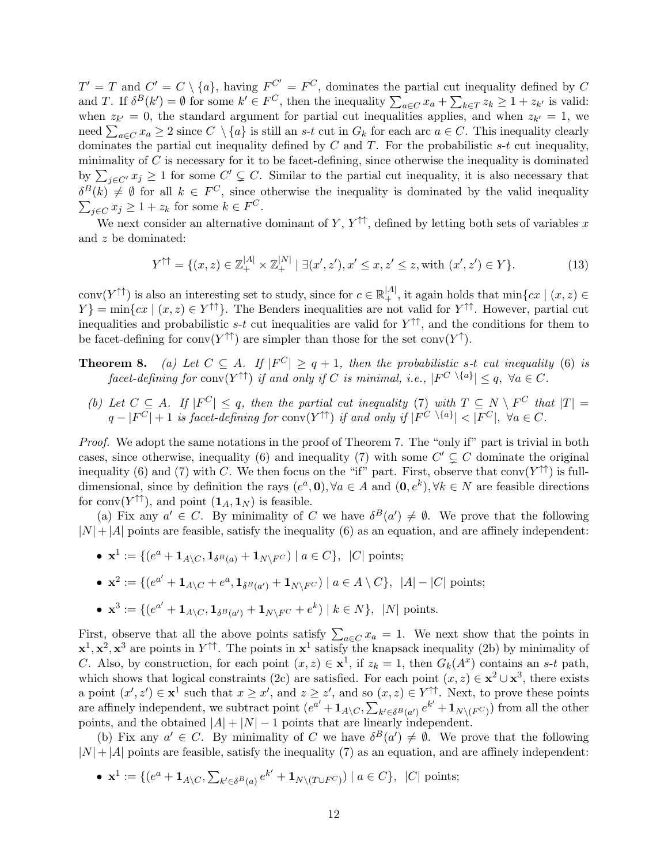$T' = T$  and  $C' = C \setminus \{a\}$ , having  $F^{C'} = F^C$ , dominates the partial cut inequality defined by C and T. If  $\delta^B(k') = \emptyset$  for some  $k' \in F^C$ , then the inequality  $\sum_{a \in C} x_a + \sum_{k \in T} z_k \ge 1 + z_{k'}$  is valid: when  $z_{k'} = 0$ , the standard argument for partial cut inequalities applies, and when  $z_{k'} = 1$ , we need  $\sum_{a \in C} x_a \ge 2$  since  $C \setminus \{a\}$  is still an s-t cut in  $G_k$  for each arc  $a \in C$ . This inequality clearly dominates the partial cut inequality defined by  $C$  and  $T$ . For the probabilistic  $s-t$  cut inequality, minimality of  $C$  is necessary for it to be facet-defining, since otherwise the inequality is dominated by  $\sum_{j\in C'} x_j \geq 1$  for some  $C' \subsetneq C$ . Similar to the partial cut inequality, it is also necessary that  $\delta^{B}(k) \neq \emptyset$  for all  $k \in F^C$ , since otherwise the inequality is dominated by the valid inequality  $\sum_{j\in C} x_j \geq 1 + z_k$  for some  $k \in F^C$ .

We next consider an alternative dominant of Y,  $Y^{\uparrow\uparrow}$ , defined by letting both sets of variables x and z be dominated:

$$
Y^{\uparrow\uparrow} = \{ (x, z) \in \mathbb{Z}_+^{|A|} \times \mathbb{Z}_+^{|N|} \mid \exists (x', z'), x' \le x, z' \le z, \text{with } (x', z') \in Y \}. \tag{13}
$$

conv $(Y^{\uparrow\uparrow})$  is also an interesting set to study, since for  $c \in \mathbb{R}^{|A|}_+$ , it again holds that  $\min\{cx \mid (x, z) \in$  $Y$ } = min{cx |  $(x, z) \in Y^{\uparrow\uparrow}$ . The Benders inequalities are not valid for  $Y^{\uparrow\uparrow}$ . However, partial cut inequalities and probabilistic s-t cut inequalities are valid for  $Y^{\uparrow\uparrow}$ , and the conditions for them to be facet-defining for conv $(Y^{\uparrow\uparrow})$  are simpler than those for the set conv $(Y^{\uparrow})$ .

- **Theorem 8.** (a) Let  $C \subseteq A$ . If  $|F^C| \ge q+1$ , then the probabilistic s-t cut inequality (6) is facet-defining for conv $(Y^{\uparrow\uparrow})$  if and only if C is minimal, i.e.,  $|F^C \setminus \{a\}| \leq q$ ,  $\forall a \in C$ .
- (b) Let  $C \subseteq A$ . If  $|F^C| \leq q$ , then the partial cut inequality (7) with  $T \subseteq N \setminus F^C$  that  $|T| =$  $q-|F^C|+1$  is facet-defining for  $\text{conv}(Y^{\uparrow\uparrow})$  if and only if  $|F^C \setminus \{a\}| < |F^C|, \ \forall a \in C$ .

Proof. We adopt the same notations in the proof of Theorem 7. The "only if" part is trivial in both cases, since otherwise, inequality (6) and inequality (7) with some  $C' \subsetneq C$  dominate the original inequality (6) and (7) with C. We then focus on the "if" part. First, observe that conv $(Y^{\uparrow\uparrow})$  is fulldimensional, since by definition the rays  $(e^a, 0)$ ,  $\forall a \in A$  and  $(0, e^k)$ ,  $\forall k \in N$  are feasible directions for conv $(Y^{\uparrow\uparrow})$ , and point  $(\mathbf{1}_A, \mathbf{1}_N)$  is feasible.

(a) Fix any  $a' \in C$ . By minimality of C we have  $\delta^B(a') \neq \emptyset$ . We prove that the following  $|N|+|A|$  points are feasible, satisfy the inequality (6) as an equation, and are affinely independent:

- $\mathbf{x}^1 := \{ (e^a + \mathbf{1}_{A \setminus C}, \mathbf{1}_{\delta^B(a)} + \mathbf{1}_{N \setminus F^C}) \mid a \in C \}, |C| \text{ points};$
- $\mathbf{x}^2 := \{ (e^{a'} + \mathbf{1}_{A \setminus C} + e^a, \mathbf{1}_{\delta^B(a')} + \mathbf{1}_{N \setminus F^C}) \mid a \in A \setminus C \}, |A| |C| \text{ points};$
- $\mathbf{x}^3 := \{ (e^{a'} + \mathbf{1}_{A \setminus C}, \mathbf{1}_{\delta^B(a')} + \mathbf{1}_{N \setminus F^C} + e^k) \mid k \in N \}, |N| \text{ points.}$

First, observe that all the above points satisfy  $\sum_{a \in C} x_a = 1$ . We next show that the points in  $\mathbf{x}^1, \mathbf{x}^2, \mathbf{x}^3$  are points in Y<sup> $\uparrow \uparrow$ </sup>. The points in  $\mathbf{x}^1$  satisfy the knapsack inequality (2b) by minimality of C. Also, by construction, for each point  $(x, z) \in \mathbf{x}^1$ , if  $z_k = 1$ , then  $G_k(A^x)$  contains an s-t path, which shows that logical constraints (2c) are satisfied. For each point  $(x, z) \in \mathbf{x}^2 \cup \mathbf{x}^3$ , there exists a point  $(x', z') \in \mathbf{x}^1$  such that  $x \geq x'$ , and  $z \geq z'$ , and so  $(x, z) \in Y^{\uparrow\uparrow}$ . Next, to prove these points are affinely independent, we subtract point  $(e^{a'} + 1_{A\setminus C}, \sum_{k' \in \delta^B(a')} e^{k'} + 1_{N \setminus (F^C)})$  from all the other points, and the obtained  $|A| + |N| - 1$  points that are linearly independent.

(b) Fix any  $a' \in C$ . By minimality of C we have  $\delta^B(a') \neq \emptyset$ . We prove that the following  $|N|+|A|$  points are feasible, satisfy the inequality (7) as an equation, and are affinely independent:

•  $\mathbf{x}^1 := \{ (e^a + \mathbf{1}_{A \setminus C}, \sum_{k' \in \delta^B(a)} e^{k'} + \mathbf{1}_{N \setminus (T \cup F^C)}) \mid a \in C \}, |C| \text{ points};$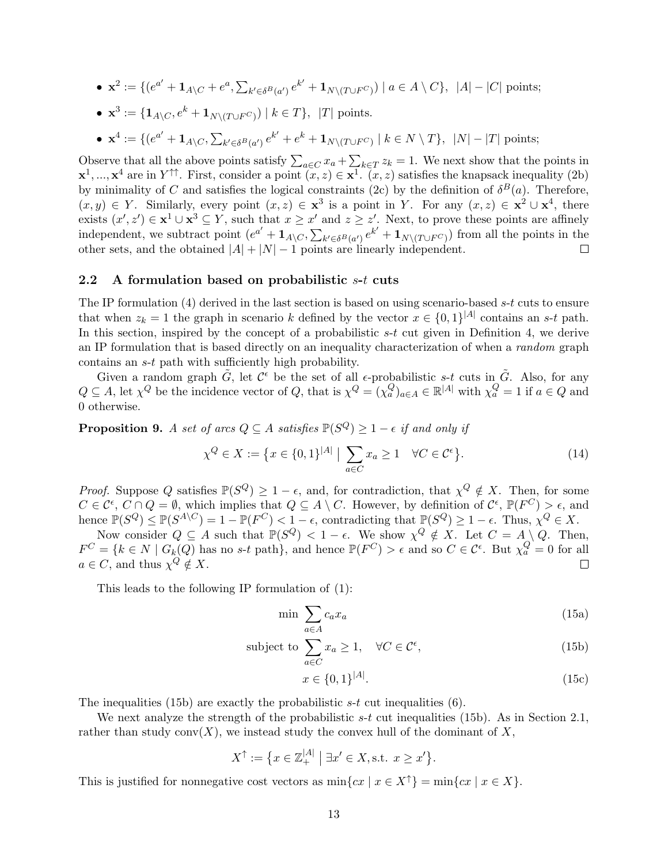- $\mathbf{x}^2 := \{ (e^{a'} + \mathbf{1}_{A \setminus C} + e^a, \sum_{k' \in \delta^B(a')} e^{k'} + \mathbf{1}_{N \setminus (T \cup F^C)}) \mid a \in A \setminus C \}, |A| |C| \text{ points};$
- $\mathbf{x}^3 := \{ \mathbf{1}_{A \setminus C}, e^k + \mathbf{1}_{N \setminus (T \cup F^C)} \mid k \in T \}, |T| \text{ points.}$
- $\bullet \; \; \mathbf{x}^4 := \{ (e^{a'} + \mathbf{1}_{A \setminus C}, \sum_{k' \in \delta^B(a')} e^{k'} + e^k + \mathbf{1}_{N \setminus (T \cup F^C)} \; | \; k \in N \setminus T \}, \; \; |N| |T| \; \text{points};$

Observe that all the above points satisfy  $\sum_{a \in C} x_a + \sum_{k \in T} z_k = 1$ . We next show that the points in  $\mathbf{x}^1, \ldots, \mathbf{x}^4$  are in Y<sup> $\uparrow \uparrow$ </sup>. First, consider a point  $(x, z) \in \mathbf{x}^1$ .  $(x, z)$  satisfies the knapsack inequality (2b) by minimality of C and satisfies the logical constraints (2c) by the definition of  $\delta^B(a)$ . Therefore,  $(x, y) \in Y$ . Similarly, every point  $(x, z) \in \mathbf{x}^3$  is a point in Y. For any  $(x, z) \in \mathbf{x}^2 \cup \mathbf{x}^4$ , there exists  $(x', z') \in \mathbf{x}^1 \cup \mathbf{x}^3 \subseteq Y$ , such that  $x \geq x'$  and  $z \geq z'$ . Next, to prove these points are affinely independent, we subtract point  $(e^{a'} + \mathbf{1}_{A\setminus C}, \sum_{k' \in \delta^B(a')} e^{k'} + \mathbf{1}_{N\setminus (T \cup F^C)})$  from all the points in the other sets, and the obtained  $|A| + |N| - 1$  points are linearly independent.  $\Box$ 

## 2.2 A formulation based on probabilistic  $s-t$  cuts

The IP formulation  $(4)$  derived in the last section is based on using scenario-based  $s-t$  cuts to ensure that when  $z_k = 1$  the graph in scenario k defined by the vector  $x \in \{0,1\}^{|A|}$  contains an s-t path. In this section, inspired by the concept of a probabilistic  $s-t$  cut given in Definition 4, we derive an IP formulation that is based directly on an inequality characterization of when a random graph contains an s-t path with sufficiently high probability.

Given a random graph  $\tilde{G}$ , let  $\mathcal{C}^{\epsilon}$  be the set of all  $\epsilon$ -probabilistic s-t cuts in  $\tilde{G}$ . Also, for any  $Q \subseteq A$ , let  $\chi^Q$  be the incidence vector of Q, that is  $\chi^Q = (\chi^Q_a)_{a \in A} \in \mathbb{R}^{|A|}$  with  $\chi^Q_a = 1$  if  $a \in Q$  and 0 otherwise.

**Proposition 9.** A set of arcs  $Q \subseteq A$  satisfies  $\mathbb{P}(S^Q) \geq 1 - \epsilon$  if and only if

$$
\chi^Q \in X := \left\{ x \in \{0, 1\}^{|A|} \; \middle| \; \sum_{a \in C} x_a \ge 1 \quad \forall C \in \mathcal{C}^\epsilon \right\}.
$$
\n
$$
(14)
$$

*Proof.* Suppose Q satisfies  $\mathbb{P}(S^Q) \geq 1 - \epsilon$ , and, for contradiction, that  $\chi^Q \notin X$ . Then, for some  $C \in \mathcal{C}^{\epsilon}, C \cap Q = \emptyset$ , which implies that  $Q \subseteq A \setminus C$ . However, by definition of  $\mathcal{C}^{\epsilon}, \mathbb{P}(F^C) > \epsilon$ , and hence  $\mathbb{P}(S^Q) \leq \mathbb{P}(S^{A \setminus C}) = 1 - \mathbb{P}(F^C) < 1 - \epsilon$ , contradicting that  $\mathbb{P}(S^Q) \geq 1 - \epsilon$ . Thus,  $\chi^Q \in X$ .

Now consider  $Q \subseteq A$  such that  $\mathbb{P}(S^Q) < 1 - \epsilon$ . We show  $\chi^Q \notin X$ . Let  $C = A \setminus Q$ . Then,  $F^C = \{k \in N \mid G_k(Q) \text{ has no } s\text{-}t \text{ path}\},\$ and hence  $\mathbb{P}(F^C) > \epsilon$  and so  $C \in \mathcal{C}^{\epsilon}$ . But  $\chi_a^Q = 0$  for all  $a \in C$ , and thus  $\chi^Q \notin X$ .  $\Box$ 

This leads to the following IP formulation of (1):

$$
\min \sum_{a \in A} c_a x_a \tag{15a}
$$

subject to 
$$
\sum_{a \in C} x_a \ge 1, \quad \forall C \in \mathcal{C}^{\epsilon},
$$
 (15b)

$$
x \in \{0, 1\}^{|A|}.\tag{15c}
$$

The inequalities (15b) are exactly the probabilistic s-t cut inequalities (6).

We next analyze the strength of the probabilistic s-t cut inequalities (15b). As in Section 2.1, rather than study conv(X), we instead study the convex hull of the dominant of X,

$$
X^{\uparrow} := \{ x \in \mathbb{Z}_+^{|A|} \mid \exists x' \in X, \text{s.t. } x \geq x' \}.
$$

This is justified for nonnegative cost vectors as  $\min\{cx \mid x \in X^{\uparrow}\} = \min\{cx \mid x \in X\}.$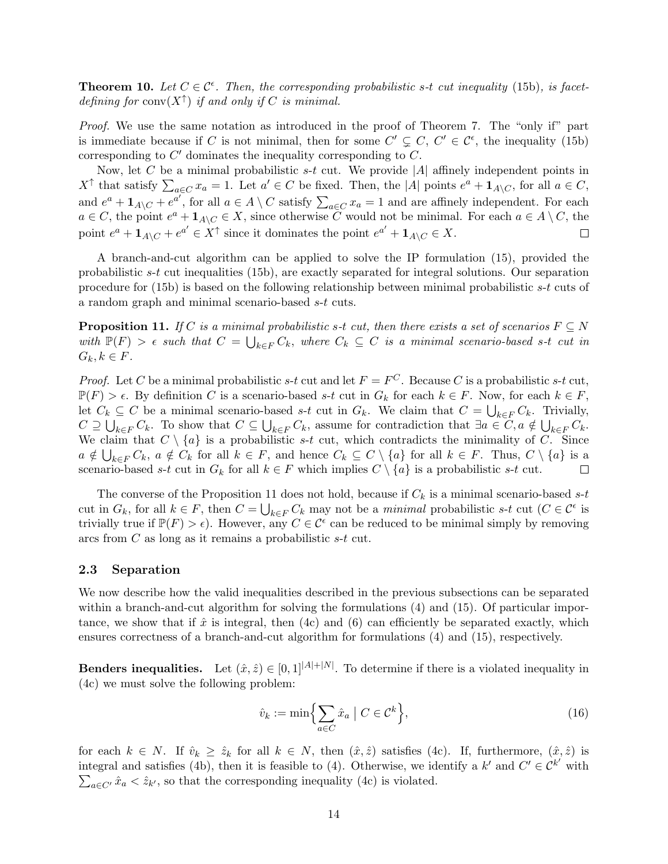**Theorem 10.** Let  $C \in \mathcal{C}^{\epsilon}$ . Then, the corresponding probabilistic s-t cut inequality (15b), is facetdefining for conv $(X^{\uparrow})$  if and only if C is minimal.

Proof. We use the same notation as introduced in the proof of Theorem 7. The "only if" part is immediate because if C is not minimal, then for some  $C' \subsetneq C$ ,  $C' \in C^{\epsilon}$ , the inequality (15b) corresponding to  $C'$  dominates the inequality corresponding to  $C$ .

Now, let C be a minimal probabilistic s-t cut. We provide  $|A|$  affinely independent points in  $X^{\uparrow}$  that satisfy  $\sum_{a \in C} x_a = 1$ . Let  $a' \in C$  be fixed. Then, the |A| points  $e^a + \mathbf{1}_{A \setminus C}$ , for all  $a \in C$ , and  $e^a + \mathbf{1}_{A\setminus C} + e^{a'}$ , for all  $a \in A \setminus C$  satisfy  $\sum_{a \in C} x_a = 1$  and are affinely independent. For each  $a \in C$ , the point  $e^a + \mathbf{1}_{A\setminus C} \in X$ , since otherwise C would not be minimal. For each  $a \in A \setminus C$ , the point  $e^a + \mathbf{1}_{A\setminus C} + e^{a'} \in X^{\uparrow}$  since it dominates the point  $e^{a'} + \mathbf{1}_{A\setminus C} \in X$ .  $\Box$ 

A branch-and-cut algorithm can be applied to solve the IP formulation (15), provided the probabilistic s-t cut inequalities (15b), are exactly separated for integral solutions. Our separation procedure for (15b) is based on the following relationship between minimal probabilistic s-t cuts of a random graph and minimal scenario-based s-t cuts.

**Proposition 11.** If C is a minimal probabilistic s-t cut, then there exists a set of scenarios  $F \subseteq N$ with  $\mathbb{P}(F) > \epsilon$  such that  $C = \bigcup_{k \in F} C_k$ , where  $C_k \subseteq C$  is a minimal scenario-based s-t cut in  $G_k, k \in F$ .

*Proof.* Let C be a minimal probabilistic s-t cut and let  $F = F^C$ . Because C is a probabilistic s-t cut,  $\mathbb{P}(F) > \epsilon$ . By definition C is a scenario-based s-t cut in  $G_k$  for each  $k \in F$ . Now, for each  $k \in F$ , let  $C_k \subseteq C$  be a minimal scenario-based s-t cut in  $G_k$ . We claim that  $C = \bigcup_{k \in F} C_k$ . Trivially,  $C \supseteq \bigcup_{k \in F} C_k$ . To show that  $C \subseteq \bigcup_{k \in F} C_k$ , assume for contradiction that  $\exists a \in C$ ,  $a \notin \bigcup_{k \in F} C_k$ . We claim that  $C \setminus \{a\}$  is a probabilistic s-t cut, which contradicts the minimality of C. Since  $a \notin \bigcup_{k \in F} C_k$ ,  $a \notin C_k$  for all  $k \in F$ , and hence  $C_k \subseteq C \setminus \{a\}$  for all  $k \in F$ . Thus,  $C \setminus \{a\}$  is a scenario-based s-t cut in  $G_k$  for all  $k \in F$  which implies  $C \setminus \{a\}$  is a probabilistic s-t cut.  $\Box$ 

The converse of the Proposition 11 does not hold, because if  $C_k$  is a minimal scenario-based s-t cut in  $G_k$ , for all  $k \in F$ , then  $C = \bigcup_{k \in F} C_k$  may not be a *minimal* probabilistic s-t cut  $(C \in C^{\epsilon}$  is trivially true if  $\mathbb{P}(F) > \epsilon$ ). However, any  $C \in \mathcal{C}^{\epsilon}$  can be reduced to be minimal simply by removing arcs from C as long as it remains a probabilistic s-t cut.

## 2.3 Separation

We now describe how the valid inequalities described in the previous subsections can be separated within a branch-and-cut algorithm for solving the formulations (4) and (15). Of particular importance, we show that if  $\hat{x}$  is integral, then (4c) and (6) can efficiently be separated exactly, which ensures correctness of a branch-and-cut algorithm for formulations (4) and (15), respectively.

**Benders inequalities.** Let  $(\hat{x}, \hat{z}) \in [0, 1]^{|A|+|N|}$ . To determine if there is a violated inequality in (4c) we must solve the following problem:

$$
\hat{v}_k := \min\left\{\sum_{a \in C} \hat{x}_a \mid C \in \mathcal{C}^k\right\},\tag{16}
$$

for each  $k \in N$ . If  $\hat{v}_k \geq \hat{z}_k$  for all  $k \in N$ , then  $(\hat{x}, \hat{z})$  satisfies (4c). If, furthermore,  $(\hat{x}, \hat{z})$  is integral and satisfies (4b), then it is feasible to (4). Otherwise, we identify a k' and  $C' \in \mathcal{C}^{k'}$  with  $\sum_{a \in C'} \hat{x}_a < \hat{z}_{k'}$ , so that the corresponding inequality (4c) is violated.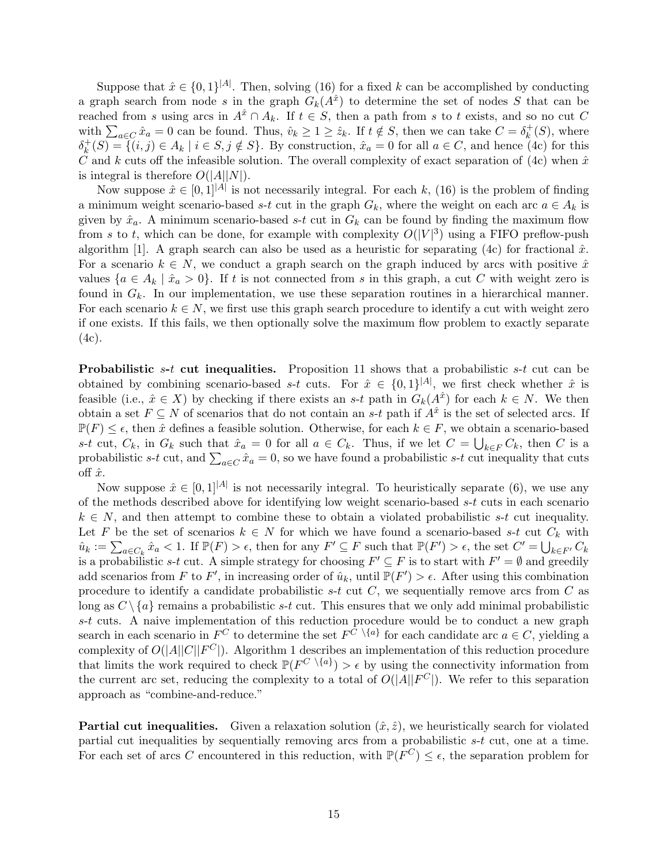Suppose that  $\hat{x} \in \{0,1\}^{|A|}$ . Then, solving (16) for a fixed k can be accomplished by conducting a graph search from node s in the graph  $G_k(A^{\hat{x}})$  to determine the set of nodes S that can be reached from s using arcs in  $A^x \cap A_k$ . If  $t \in S$ , then a path from s to t exists, and so no cut C with  $\sum_{a \in C} \hat{x}_a = 0$  can be found. Thus,  $\hat{v}_k \ge 1 \ge \hat{z}_k$ . If  $t \notin S$ , then we can take  $C = \delta_k^+$  $_{k}^{+}(S)$ , where  $\delta_k^+$  $k(k) = \{(i, j) \in A_k \mid i \in S, j \notin S\}$ . By construction,  $\hat{x}_a = 0$  for all  $a \in C$ , and hence (4c) for this C and k cuts off the infeasible solution. The overall complexity of exact separation of (4c) when  $\hat{x}$ is integral is therefore  $O(|A||N|)$ .

Now suppose  $\hat{x} \in [0,1]^{|A|}$  is not necessarily integral. For each k, (16) is the problem of finding a minimum weight scenario-based s-t cut in the graph  $G_k$ , where the weight on each arc  $a \in A_k$  is given by  $\hat{x}_a$ . A minimum scenario-based s-t cut in  $G_k$  can be found by finding the maximum flow from s to t, which can be done, for example with complexity  $O(|V|^3)$  using a FIFO preflow-push algorithm [1]. A graph search can also be used as a heuristic for separating (4c) for fractional  $\hat{x}$ . For a scenario  $k \in N$ , we conduct a graph search on the graph induced by arcs with positive  $\hat{x}$ values  $\{a \in A_k \mid \hat{x}_a > 0\}$ . If t is not connected from s in this graph, a cut C with weight zero is found in  $G_k$ . In our implementation, we use these separation routines in a hierarchical manner. For each scenario  $k \in N$ , we first use this graph search procedure to identify a cut with weight zero if one exists. If this fails, we then optionally solve the maximum flow problem to exactly separate  $(4c).$ 

**Probabilistic** s-t cut inequalities. Proposition 11 shows that a probabilistic s-t cut can be obtained by combining scenario-based s-t cuts. For  $\hat{x} \in \{0,1\}^{|A|}$ , we first check whether  $\hat{x}$  is feasible (i.e.,  $\hat{x} \in X$ ) by checking if there exists an s-t path in  $G_k(A^{\hat{x}})$  for each  $k \in N$ . We then obtain a set  $F \subseteq N$  of scenarios that do not contain an s-t path if  $A^{\hat{x}}$  is the set of selected arcs. If  $\mathbb{P}(F) \leq \epsilon$ , then  $\hat{x}$  defines a feasible solution. Otherwise, for each  $k \in F$ , we obtain a scenario-based s-t cut,  $C_k$ , in  $G_k$  such that  $\hat{x}_a = 0$  for all  $a \in C_k$ . Thus, if we let  $C = \bigcup_{k \in F} C_k$ , then C is a probabilistic s-t cut, and  $\sum_{a \in C} \hat{x}_a = 0$ , so we have found a probabilistic s-t cut inequality that cuts off  $\hat{x}$ .

Now suppose  $\hat{x} \in [0,1]^{|A|}$  is not necessarily integral. To heuristically separate (6), we use any of the methods described above for identifying low weight scenario-based s-t cuts in each scenario  $k \in N$ , and then attempt to combine these to obtain a violated probabilistic s-t cut inequality. Let F be the set of scenarios  $k \in N$  for which we have found a scenario-based s-t cut  $C_k$  with  $\hat{u}_k := \sum_{a \in C_k} \hat{x}_a < 1$ . If  $\mathbb{P}(F) > \epsilon$ , then for any  $F' \subseteq F$  such that  $\mathbb{P}(F') > \epsilon$ , the set  $C' = \bigcup_{k \in F'} C_k$ is a probabilistic s-t cut. A simple strategy for choosing  $F' \subseteq F$  is to start with  $F' = \emptyset$  and greedily add scenarios from F to F', in increasing order of  $\hat{u}_k$ , until  $\mathbb{P}(F') > \epsilon$ . After using this combination procedure to identify a candidate probabilistic s-t cut  $C$ , we sequentially remove arcs from  $C$  as long as  $C \setminus \{a\}$  remains a probabilistic s-t cut. This ensures that we only add minimal probabilistic s-t cuts. A naive implementation of this reduction procedure would be to conduct a new graph search in each scenario in  $F^C$  to determine the set  $F^C \setminus \{a\}$  for each candidate arc  $a \in C$ , yielding a complexity of  $O(|A||C||F^C|)$ . Algorithm 1 describes an implementation of this reduction procedure that limits the work required to check  $\mathbb{P}(F^{C} \setminus \{a\}) > \epsilon$  by using the connectivity information from the current arc set, reducing the complexity to a total of  $O(|A||F^C|)$ . We refer to this separation approach as "combine-and-reduce."

**Partial cut inequalities.** Given a relaxation solution  $(\hat{x}, \hat{z})$ , we heuristically search for violated partial cut inequalities by sequentially removing arcs from a probabilistic s-t cut, one at a time. For each set of arcs C encountered in this reduction, with  $\mathbb{P}(F^C) \leq \epsilon$ , the separation problem for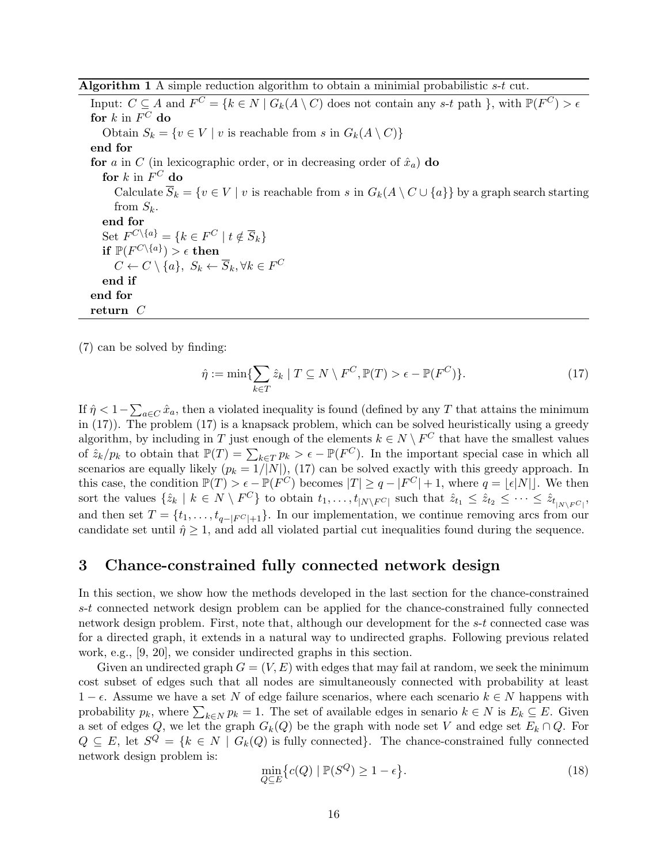Algorithm 1 A simple reduction algorithm to obtain a minimial probabilistic  $s-t$  cut.

Input:  $C \subseteq A$  and  $F^C = \{k \in N \mid G_k(A \setminus C)$  does not contain any s-t path  $\}$ , with  $\mathbb{P}(F^C) > \epsilon$ for  $k$  in  $F^C$  do Obtain  $S_k = \{v \in V \mid v \text{ is reachable from } s \text{ in } G_k(A \setminus C)\}\$ end for for a in C (in lexicographic order, or in decreasing order of  $\hat{x}_a$ ) do for  $k$  in  $F^C$  do Calculate  $\overline{S}_k = \{v \in V \mid v \text{ is reachable from } s \text{ in } G_k(A \setminus C \cup \{a\}\}\)$  by a graph search starting from  $S_k$ . end for Set  $F^{C \setminus \{a\}} = \{k \in F^C \mid t \notin \overline{S}_k\}$ if  $\mathbb{P}(F^{C\setminus\{a\}})>\epsilon$  then  $C \leftarrow C \setminus \{a\}, \ S_k \leftarrow \overline{S}_k, \forall k \in F^C$ end if end for return C

(7) can be solved by finding:

$$
\hat{\eta} := \min\{\sum_{k \in T} \hat{z}_k \mid T \subseteq N \setminus F^C, \mathbb{P}(T) > \epsilon - \mathbb{P}(F^C)\}. \tag{17}
$$

If  $\hat{\eta} < 1 - \sum_{a \in C} \hat{x}_a$ , then a violated inequality is found (defined by any T that attains the minimum in (17)). The problem (17) is a knapsack problem, which can be solved heuristically using a greedy algorithm, by including in T just enough of the elements  $k \in N \setminus F^C$  that have the smallest values of  $\hat{z}_k/p_k$  to obtain that  $\mathbb{P}(T) = \sum_{k \in T} p_k > \epsilon - \mathbb{P}(F^C)$ . In the important special case in which all scenarios are equally likely  $(p_k = 1/|N|)$ , (17) can be solved exactly with this greedy approach. In this case, the condition  $\mathbb{P}(T) > \epsilon - \mathbb{P}(F^C)$  becomes  $|T| \geq q - |F^C| + 1$ , where  $q = |\epsilon|N|$ . We then sort the values  $\{\hat{z}_k \mid k \in N \setminus F^C\}$  to obtain  $t_1, \ldots, t_{|N\setminus F^C|}$  such that  $\hat{z}_{t_1} \leq \hat{z}_{t_2} \leq \cdots \leq \hat{z}_{t_{|N\setminus F^C|}}$ , and then set  $T = \{t_1, \ldots, t_{q-|F^C|+1}\}.$  In our implementation, we continue removing arcs from our candidate set until  $\hat{\eta} \geq 1$ , and add all violated partial cut inequalities found during the sequence.

# 3 Chance-constrained fully connected network design

In this section, we show how the methods developed in the last section for the chance-constrained s-t connected network design problem can be applied for the chance-constrained fully connected network design problem. First, note that, although our development for the s-t connected case was for a directed graph, it extends in a natural way to undirected graphs. Following previous related work, e.g., [9, 20], we consider undirected graphs in this section.

Given an undirected graph  $G = (V, E)$  with edges that may fail at random, we seek the minimum cost subset of edges such that all nodes are simultaneously connected with probability at least  $1 - \epsilon$ . Assume we have a set N of edge failure scenarios, where each scenario  $k \in N$  happens with probability  $p_k$ , where  $\sum_{k\in N} p_k = 1$ . The set of available edges in senario  $k \in N$  is  $E_k \subseteq E$ . Given a set of edges Q, we let the graph  $G_k(Q)$  be the graph with node set V and edge set  $E_k \cap Q$ . For  $Q \subseteq E$ , let  $S^Q = \{k \in N \mid G_k(Q)$  is fully connected}. The chance-constrained fully connected network design problem is:

$$
\min_{Q \subseteq E} \{c(Q) \mid \mathbb{P}(S^Q) \ge 1 - \epsilon\}.
$$
\n(18)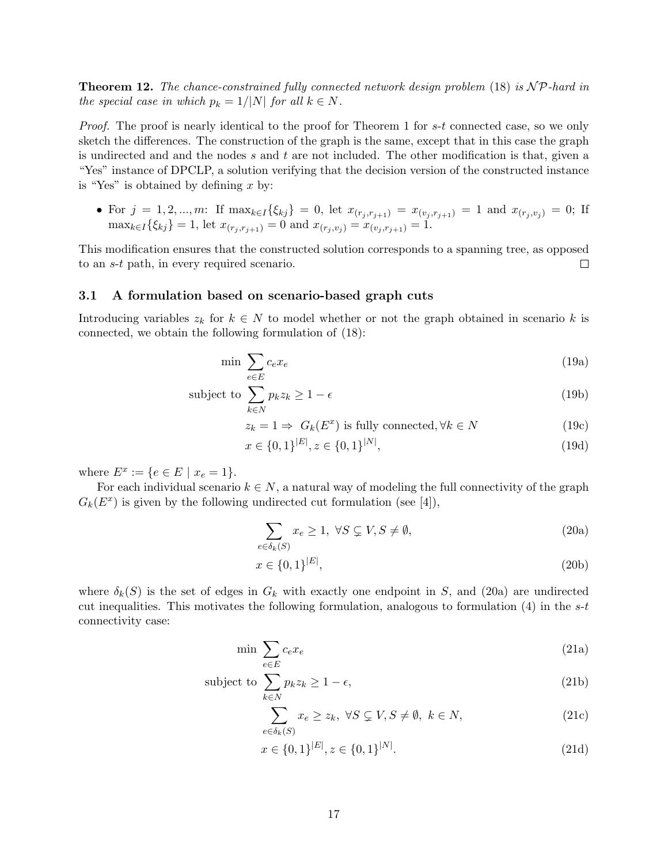**Theorem 12.** The chance-constrained fully connected network design problem (18) is  $\mathcal{NP}$ -hard in the special case in which  $p_k = 1/|N|$  for all  $k \in N$ .

Proof. The proof is nearly identical to the proof for Theorem 1 for s-t connected case, so we only sketch the differences. The construction of the graph is the same, except that in this case the graph is undirected and and the nodes  $s$  and  $t$  are not included. The other modification is that, given a "Yes" instance of DPCLP, a solution verifying that the decision version of the constructed instance is "Yes" is obtained by defining  $x$  by:

• For  $j = 1, 2, ..., m$ : If  $\max_{k \in I} {\{\xi_{kj}\}} = 0$ , let  $x_{(r_j, r_{j+1})} = x_{(v_j, r_{j+1})} = 1$  and  $x_{(r_j, v_j)} = 0$ ; If  $\max_{k \in I} {\{\xi_{kj}\}} = 1$ , let  $x_{(r_j, r_{j+1})} = 0$  and  $x_{(r_j, v_j)} = x_{(v_j, r_{j+1})} = 1$ .

This modification ensures that the constructed solution corresponds to a spanning tree, as opposed to an s-t path, in every required scenario.  $\Box$ 

#### 3.1 A formulation based on scenario-based graph cuts

Introducing variables  $z_k$  for  $k \in N$  to model whether or not the graph obtained in scenario k is connected, we obtain the following formulation of (18):

$$
\min \sum_{e \in E} c_e x_e \tag{19a}
$$

subject to 
$$
\sum_{k \in N} p_k z_k \ge 1 - \epsilon
$$
 (19b)

$$
z_k = 1 \Rightarrow G_k(E^x) \text{ is fully connected, } \forall k \in N \tag{19c}
$$

$$
x \in \{0, 1\}^{|E|}, z \in \{0, 1\}^{|N|},\tag{19d}
$$

where  $E^x := \{ e \in E \mid x_e = 1 \}.$ 

For each individual scenario  $k \in N$ , a natural way of modeling the full connectivity of the graph  $G_k(E^x)$  is given by the following undirected cut formulation (see [4]),

$$
\sum_{e \in \delta_k(S)} x_e \ge 1, \ \forall S \subsetneq V, S \neq \emptyset,
$$
\n(20a)

$$
x \in \{0, 1\}^{|E|},\tag{20b}
$$

where  $\delta_k(S)$  is the set of edges in  $G_k$  with exactly one endpoint in S, and (20a) are undirected cut inequalities. This motivates the following formulation, analogous to formulation  $(4)$  in the s-t connectivity case:

$$
\min \sum_{e \in E} c_e x_e \tag{21a}
$$

subject to 
$$
\sum_{k \in N} p_k z_k \ge 1 - \epsilon,
$$
 (21b)

$$
\sum_{e \in \delta_k(S)} x_e \ge z_k, \ \forall S \subsetneq V, S \neq \emptyset, \ k \in N,
$$
\n(21c)

$$
x \in \{0, 1\}^{|E|}, z \in \{0, 1\}^{|N|}.
$$
\n(21d)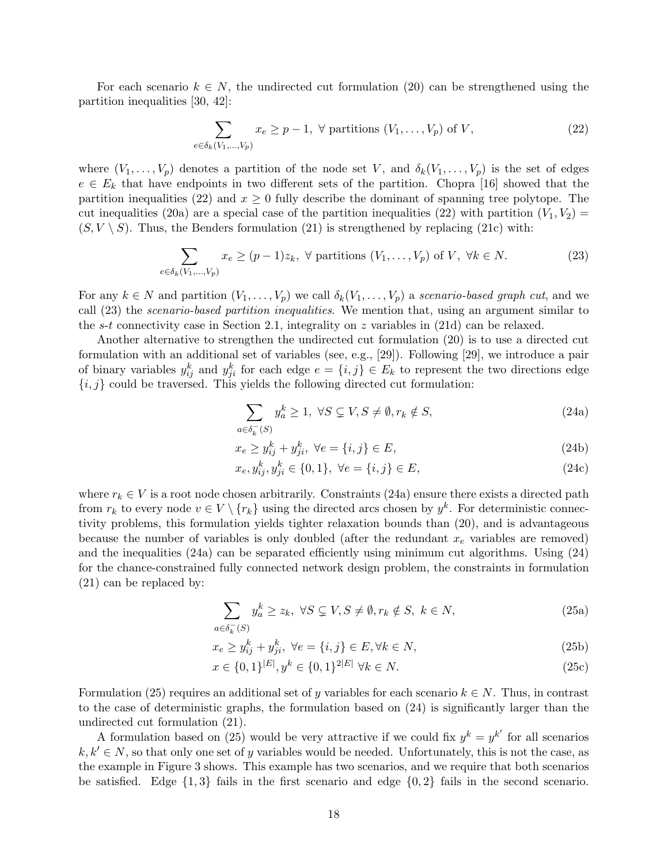For each scenario  $k \in N$ , the undirected cut formulation (20) can be strengthened using the partition inequalities [30, 42]:

$$
\sum_{e \in \delta_k(V_1, \dots, V_p)} x_e \ge p - 1, \ \forall \ \text{partitions} \ (V_1, \dots, V_p) \ \text{of} \ V,
$$
\n
$$
(22)
$$

where  $(V_1,\ldots,V_p)$  denotes a partition of the node set V, and  $\delta_k(V_1,\ldots,V_p)$  is the set of edges  $e \in E_k$  that have endpoints in two different sets of the partition. Chopra [16] showed that the partition inequalities (22) and  $x \ge 0$  fully describe the dominant of spanning tree polytope. The cut inequalities (20a) are a special case of the partition inequalities (22) with partition  $(V_1, V_2)$  =  $(S, V \setminus S)$ . Thus, the Benders formulation (21) is strengthened by replacing (21c) with:

$$
\sum_{e \in \delta_k(V_1, \dots, V_p)} x_e \ge (p-1)z_k, \ \forall \ \text{partitions} \ (V_1, \dots, V_p) \ \text{of} \ V, \ \forall k \in N. \tag{23}
$$

For any  $k \in N$  and partition  $(V_1, \ldots, V_p)$  we call  $\delta_k(V_1, \ldots, V_p)$  a scenario-based graph cut, and we call (23) the scenario-based partition inequalities. We mention that, using an argument similar to the s-t connectivity case in Section 2.1, integrality on z variables in  $(21d)$  can be relaxed.

Another alternative to strengthen the undirected cut formulation (20) is to use a directed cut formulation with an additional set of variables (see, e.g., [29]). Following [29], we introduce a pair of binary variables  $y_{ij}^k$  and  $y_{ji}^k$  for each edge  $e = \{i, j\} \in E_k$  to represent the two directions edge  ${i, j}$  could be traversed. This yields the following directed cut formulation:

$$
\sum_{a \in \delta_k^-(S)} y_a^k \ge 1, \ \forall S \subsetneq V, S \neq \emptyset, r_k \notin S,
$$
\n(24a)

$$
x_e \ge y_{ij}^k + y_{ji}^k, \ \forall e = \{i, j\} \in E,
$$
\n(24b)

$$
x_e, y_{ij}^k, y_{ji}^k \in \{0, 1\}, \ \forall e = \{i, j\} \in E,\tag{24c}
$$

where  $r_k \in V$  is a root node chosen arbitrarily. Constraints (24a) ensure there exists a directed path from  $r_k$  to every node  $v \in V \setminus \{r_k\}$  using the directed arcs chosen by  $y^k$ . For deterministic connectivity problems, this formulation yields tighter relaxation bounds than (20), and is advantageous because the number of variables is only doubled (after the redundant  $x_e$  variables are removed) and the inequalities (24a) can be separated efficiently using minimum cut algorithms. Using (24) for the chance-constrained fully connected network design problem, the constraints in formulation (21) can be replaced by:

$$
\sum_{a \in \delta_k^-(S)} y_a^k \ge z_k, \ \forall S \subsetneq V, S \neq \emptyset, r_k \notin S, \ k \in N,
$$
\n(25a)

$$
x_e \ge y_{ij}^k + y_{ji}^k, \ \forall e = \{i, j\} \in E, \forall k \in N,
$$
\n
$$
(25b)
$$

$$
x \in \{0, 1\}^{|E|}, y^k \in \{0, 1\}^{2|E|} \,\forall k \in N.
$$
\n
$$
(25c)
$$

Formulation (25) requires an additional set of y variables for each scenario  $k \in N$ . Thus, in contrast to the case of deterministic graphs, the formulation based on (24) is significantly larger than the undirected cut formulation (21).

A formulation based on (25) would be very attractive if we could fix  $y^k = y^{k'}$  for all scenarios  $k, k' \in N$ , so that only one set of y variables would be needed. Unfortunately, this is not the case, as the example in Figure 3 shows. This example has two scenarios, and we require that both scenarios be satisfied. Edge  $\{1,3\}$  fails in the first scenario and edge  $\{0,2\}$  fails in the second scenario.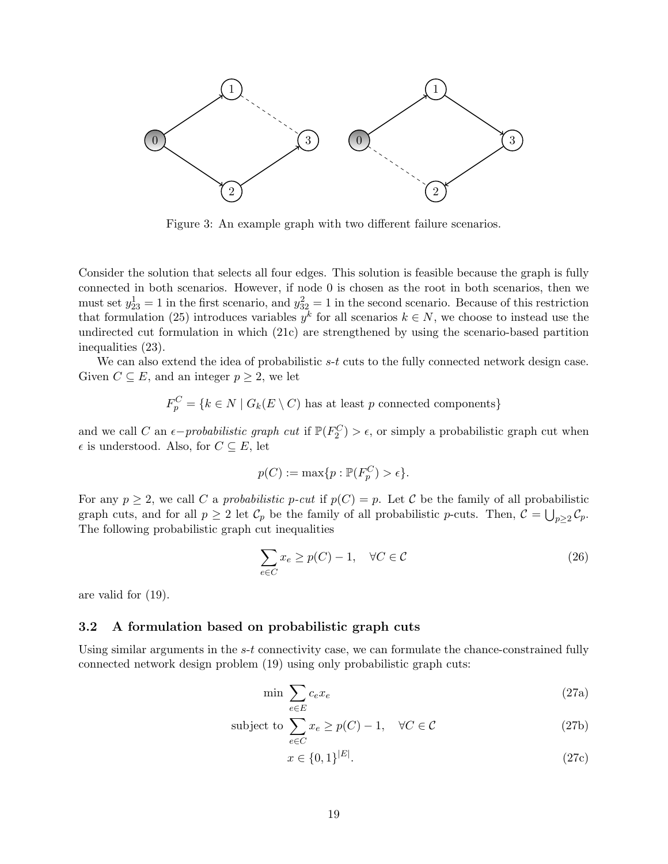

Figure 3: An example graph with two different failure scenarios.

Consider the solution that selects all four edges. This solution is feasible because the graph is fully connected in both scenarios. However, if node 0 is chosen as the root in both scenarios, then we must set  $y_{23}^1 = 1$  in the first scenario, and  $y_{32}^2 = 1$  in the second scenario. Because of this restriction that formulation (25) introduces variables  $y^k$  for all scenarios  $k \in N$ , we choose to instead use the undirected cut formulation in which (21c) are strengthened by using the scenario-based partition inequalities (23).

We can also extend the idea of probabilistic s-t cuts to the fully connected network design case. Given  $C \subseteq E$ , and an integer  $p \geq 2$ , we let

$$
F_p^C = \{ k \in N \mid G_k(E \setminus C) \text{ has at least } p \text{ connected components} \}
$$

and we call C an  $\epsilon$ -probabilistic graph cut if  $\mathbb{P}(F_2^C) > \epsilon$ , or simply a probabilistic graph cut when  $\epsilon$  is understood. Also, for  $C \subseteq E$ , let

$$
p(C) := \max\{p : \mathbb{P}(F_p^C) > \epsilon\}.
$$

For any  $p \ge 2$ , we call C a probabilistic p-cut if  $p(C) = p$ . Let C be the family of all probabilistic graph cuts, and for all  $p \geq 2$  let  $\mathcal{C}_p$  be the family of all probabilistic p-cuts. Then,  $\mathcal{C} = \bigcup_{p \geq 2} \mathcal{C}_p$ . The following probabilistic graph cut inequalities

$$
\sum_{e \in C} x_e \ge p(C) - 1, \quad \forall C \in \mathcal{C}
$$
\n(26)

are valid for (19).

## 3.2 A formulation based on probabilistic graph cuts

Using similar arguments in the s-t connectivity case, we can formulate the chance-constrained fully connected network design problem (19) using only probabilistic graph cuts:

$$
\min \sum_{e \in E} c_e x_e \tag{27a}
$$

subject to 
$$
\sum_{e \in C} x_e \ge p(C) - 1, \quad \forall C \in \mathcal{C}
$$
 (27b)

$$
x \in \{0, 1\}^{|E|}.\tag{27c}
$$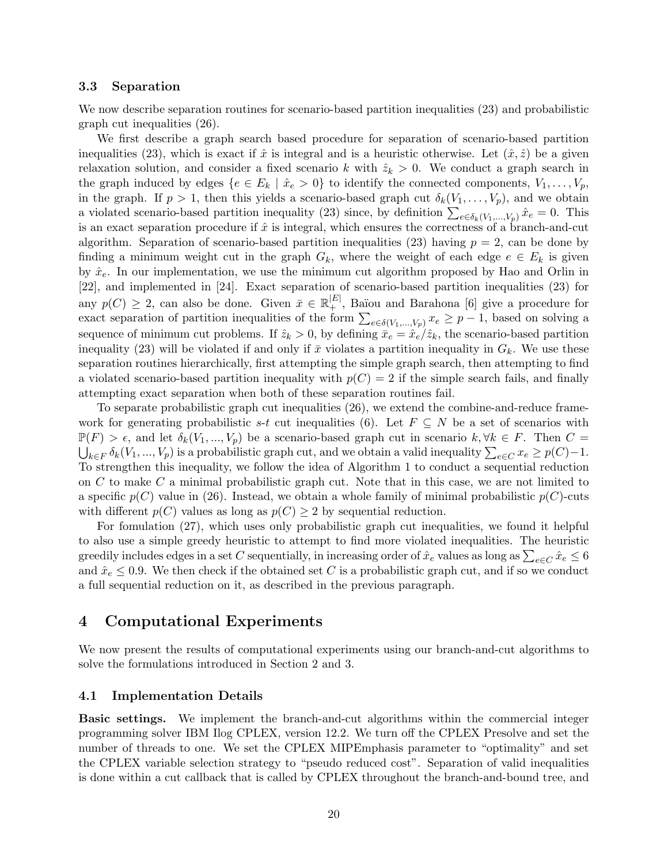## 3.3 Separation

We now describe separation routines for scenario-based partition inequalities (23) and probabilistic graph cut inequalities (26).

We first describe a graph search based procedure for separation of scenario-based partition inequalities (23), which is exact if  $\hat{x}$  is integral and is a heuristic otherwise. Let  $(\hat{x}, \hat{z})$  be a given relaxation solution, and consider a fixed scenario k with  $\hat{z}_k > 0$ . We conduct a graph search in the graph induced by edges  $\{e \in E_k \mid \hat{x}_e > 0\}$  to identify the connected components,  $V_1, \ldots, V_p$ , in the graph. If  $p > 1$ , then this yields a scenario-based graph cut  $\delta_k(V_1, \ldots, V_p)$ , and we obtain a violated scenario-based partition inequality (23) since, by definition  $\sum_{e \in \delta_k(V_1,...,V_p)} \hat{x}_e = 0$ . This is an exact separation procedure if  $\hat{x}$  is integral, which ensures the correctness of a branch-and-cut algorithm. Separation of scenario-based partition inequalities (23) having  $p = 2$ , can be done by finding a minimum weight cut in the graph  $G_k$ , where the weight of each edge  $e \in E_k$  is given by  $\hat{x}_e$ . In our implementation, we use the minimum cut algorithm proposed by Hao and Orlin in [22], and implemented in [24]. Exact separation of scenario-based partition inequalities (23) for any  $p(C) \geq 2$ , can also be done. Given  $\bar{x} \in \mathbb{R}^{|E|}_+$ , Baïou and Barahona [6] give a procedure for exact separation of partition inequalities of the form  $\sum_{e \in \delta(V_1,...,V_p)} x_e \geq p-1$ , based on solving a sequence of minimum cut problems. If  $\hat{z}_k > 0$ , by defining  $\bar{x}_e = \hat{x}_e/\hat{z}_k$ , the scenario-based partition inequality (23) will be violated if and only if  $\bar{x}$  violates a partition inequality in  $G_k$ . We use these separation routines hierarchically, first attempting the simple graph search, then attempting to find a violated scenario-based partition inequality with  $p(C) = 2$  if the simple search fails, and finally attempting exact separation when both of these separation routines fail.

To separate probabilistic graph cut inequalities (26), we extend the combine-and-reduce framework for generating probabilistic s-t cut inequalities (6). Let  $F \subseteq N$  be a set of scenarios with  $\mathbb{P}(F) > \epsilon$ , and let  $\delta_k(V_1, ..., V_p)$  be a scenario-based graph cut in scenario  $k, \forall k \in F$ . Then  $C =$  $\bigcup_{k\in F}\delta_k(V_1,...,V_p)$  is a probabilistic graph cut, and we obtain a valid inequality  $\sum_{e\in C}x_e\geq p(C)-1$ . To strengthen this inequality, we follow the idea of Algorithm 1 to conduct a sequential reduction on  $C$  to make  $C$  a minimal probabilistic graph cut. Note that in this case, we are not limited to a specific  $p(C)$  value in (26). Instead, we obtain a whole family of minimal probabilistic  $p(C)$ -cuts with different  $p(C)$  values as long as  $p(C) \geq 2$  by sequential reduction.

For fomulation (27), which uses only probabilistic graph cut inequalities, we found it helpful to also use a simple greedy heuristic to attempt to find more violated inequalities. The heuristic greedily includes edges in a set  $C$  sequentially, in increasing order of  $\hat{x}_e$  values as long as  $\sum_{e\in C}\hat{x}_e\leq 6$ and  $\hat{x}_e \leq 0.9$ . We then check if the obtained set C is a probabilistic graph cut, and if so we conduct a full sequential reduction on it, as described in the previous paragraph.

# 4 Computational Experiments

We now present the results of computational experiments using our branch-and-cut algorithms to solve the formulations introduced in Section 2 and 3.

#### 4.1 Implementation Details

Basic settings. We implement the branch-and-cut algorithms within the commercial integer programming solver IBM Ilog CPLEX, version 12.2. We turn off the CPLEX Presolve and set the number of threads to one. We set the CPLEX MIPEmphasis parameter to "optimality" and set the CPLEX variable selection strategy to "pseudo reduced cost". Separation of valid inequalities is done within a cut callback that is called by CPLEX throughout the branch-and-bound tree, and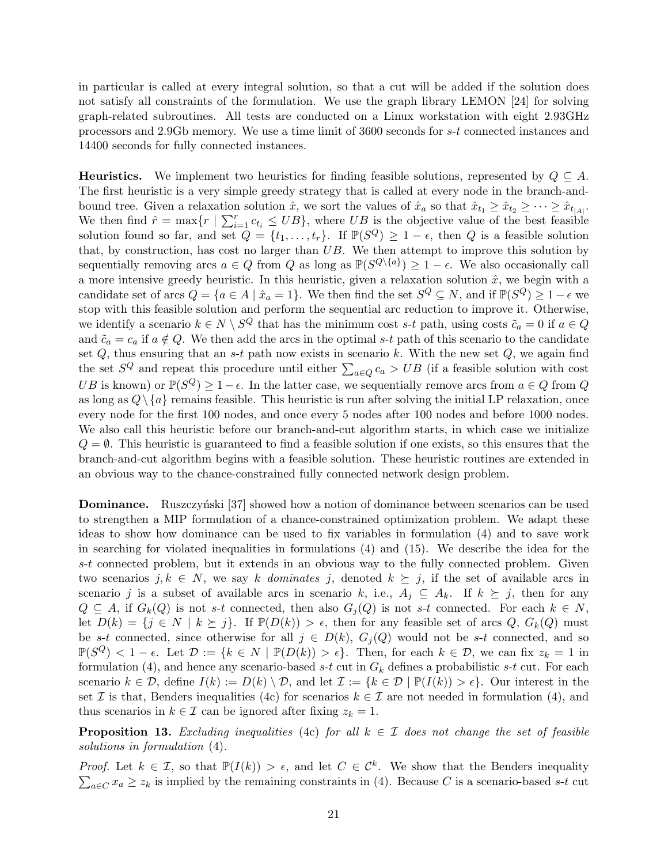in particular is called at every integral solution, so that a cut will be added if the solution does not satisfy all constraints of the formulation. We use the graph library LEMON [24] for solving graph-related subroutines. All tests are conducted on a Linux workstation with eight 2.93GHz processors and 2.9Gb memory. We use a time limit of 3600 seconds for s-t connected instances and 14400 seconds for fully connected instances.

**Heuristics.** We implement two heuristics for finding feasible solutions, represented by  $Q \subseteq A$ . The first heuristic is a very simple greedy strategy that is called at every node in the branch-andbound tree. Given a relaxation solution  $\hat{x}$ , we sort the values of  $\hat{x}_a$  so that  $\hat{x}_{t_1} \geq \hat{x}_{t_2} \geq \cdots \geq \hat{x}_{t_{|A|}}$ . We then find  $\hat{r} = \max\{r \mid \sum_{i=1}^r c_{t_i} \leq UB\}$ , where UB is the objective value of the best feasible solution found so far, and set  $Q = \{t_1, \ldots, t_r\}$ . If  $\mathbb{P}(S^Q) \geq 1 - \epsilon$ , then Q is a feasible solution that, by construction, has cost no larger than  $UB$ . We then attempt to improve this solution by sequentially removing arcs  $a \in Q$  from Q as long as  $\mathbb{P}(S^{Q \setminus \{a\}}) \geq 1 - \epsilon$ . We also occasionally call a more intensive greedy heuristic. In this heuristic, given a relaxation solution  $\hat{x}$ , we begin with a candidate set of arcs  $Q = \{a \in A \mid \hat{x}_a = 1\}$ . We then find the set  $S^Q \subseteq N$ , and if  $\mathbb{P}(S^Q) \geq 1 - \epsilon$  we stop with this feasible solution and perform the sequential arc reduction to improve it. Otherwise, we identify a scenario  $k \in N \setminus S^Q$  that has the minimum cost s-t path, using costs  $\tilde{c}_a = 0$  if  $a \in Q$ and  $\tilde{c}_a = c_a$  if  $a \notin Q$ . We then add the arcs in the optimal s-t path of this scenario to the candidate set  $Q$ , thus ensuring that an s-t path now exists in scenario k. With the new set  $Q$ , we again find the set  $S^Q$  and repeat this procedure until either  $\sum_{a\in Q} c_a > UB$  (if a feasible solution with cost UB is known) or  $\mathbb{P}(S^Q) \geq 1 - \epsilon$ . In the latter case, we sequentially remove arcs from  $a \in Q$  from Q as long as  $Q \setminus \{a\}$  remains feasible. This heuristic is run after solving the initial LP relaxation, once every node for the first 100 nodes, and once every 5 nodes after 100 nodes and before 1000 nodes. We also call this heuristic before our branch-and-cut algorithm starts, in which case we initialize  $Q = \emptyset$ . This heuristic is guaranteed to find a feasible solution if one exists, so this ensures that the branch-and-cut algorithm begins with a feasible solution. These heuristic routines are extended in an obvious way to the chance-constrained fully connected network design problem.

**Dominance.** Ruszczyński [37] showed how a notion of dominance between scenarios can be used to strengthen a MIP formulation of a chance-constrained optimization problem. We adapt these ideas to show how dominance can be used to fix variables in formulation (4) and to save work in searching for violated inequalities in formulations (4) and (15). We describe the idea for the  $s-t$  connected problem, but it extends in an obvious way to the fully connected problem. Given two scenarios j,  $k \in N$ , we say k dominates j, denoted  $k \succeq j$ , if the set of available arcs in scenario j is a subset of available arcs in scenario k, i.e.,  $A_j \subseteq A_k$ . If  $k \geq j$ , then for any  $Q \subseteq A$ , if  $G_k(Q)$  is not s-t connected, then also  $G_i(Q)$  is not s-t connected. For each  $k \in N$ , let  $D(k) = \{j \in N \mid k \geq j\}$ . If  $\mathbb{P}(D(k)) > \epsilon$ , then for any feasible set of arcs  $Q, G_k(Q)$  must be s-t connected, since otherwise for all  $j \in D(k)$ ,  $G_i(Q)$  would not be s-t connected, and so  $\mathbb{P}(S^Q) < 1 - \epsilon$ . Let  $\mathcal{D} := \{k \in N \mid \mathbb{P}(D(k)) > \epsilon\}$ . Then, for each  $k \in \mathcal{D}$ , we can fix  $z_k = 1$  in formulation (4), and hence any scenario-based s-t cut in  $G_k$  defines a probabilistic s-t cut. For each scenario  $k \in \mathcal{D}$ , define  $I(k) := D(k) \setminus \mathcal{D}$ , and let  $\mathcal{I} := \{k \in \mathcal{D} \mid \mathbb{P}(I(k)) > \epsilon\}$ . Our interest in the set I is that, Benders inequalities (4c) for scenarios  $k \in \mathcal{I}$  are not needed in formulation (4), and thus scenarios in  $k \in \mathcal{I}$  can be ignored after fixing  $z_k = 1$ .

**Proposition 13.** Excluding inequalities (4c) for all  $k \in \mathcal{I}$  does not change the set of feasible solutions in formulation (4).

*Proof.* Let  $k \in \mathcal{I}$ , so that  $\mathbb{P}(I(k)) > \epsilon$ , and let  $C \in \mathcal{C}^k$ . We show that the Benders inequality  $\sum_{a \in C} x_a \geq z_k$  is implied by the remaining constraints in (4). Because C is a scenario-based s-t cut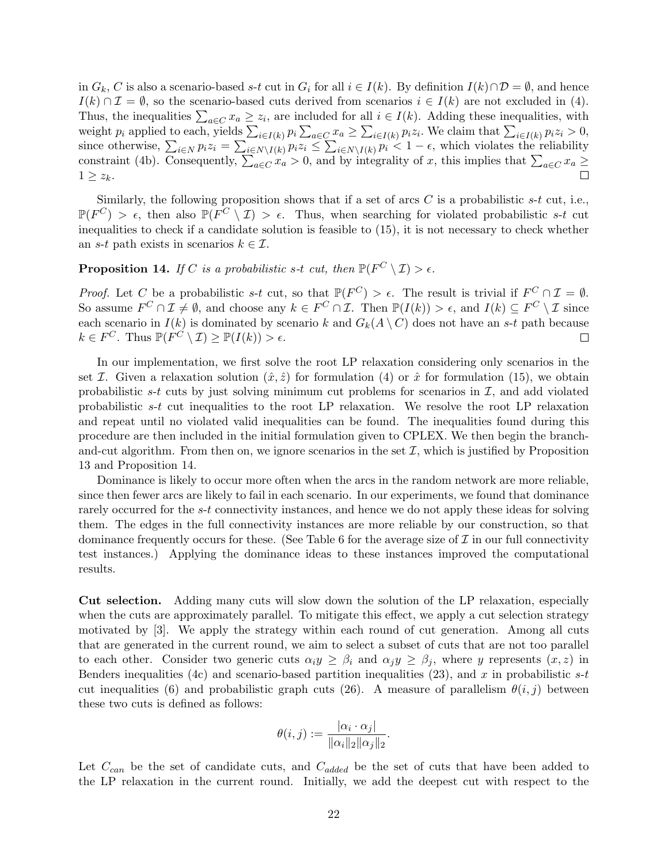in  $G_k$ , C is also a scenario-based s-t cut in  $G_i$  for all  $i \in I(k)$ . By definition  $I(k) \cap \mathcal{D} = \emptyset$ , and hence  $I(k) \cap \mathcal{I} = \emptyset$ , so the scenario-based cuts derived from scenarios  $i \in I(k)$  are not excluded in (4). Thus, the inequalities  $\sum_{a \in C} x_a \geq z_i$ , are included for all  $i \in I(k)$ . Adding these inequalities, with weight  $p_i$  applied to each, yields  $\sum_{i \in I(k)} p_i \sum_{a \in C} x_a \geq \sum_{i \in I(k)} p_i z_i$ . We claim that  $\sum_{i \in I(k)} p_i z_i > 0$ , since otherwise,  $\sum_{i\in N} p_i z_i = \sum_{i\in N\setminus I(k)} p_i z_i \leq \sum_{i\in N\setminus I(k)} p_i < 1-\epsilon$ , which violates the reliability constraint (4b). Consequently,  $\sum_{a \in C} x_a > 0$ , and by integrality of x, this implies that  $\sum_{a \in C} x_a \ge$  $1 > z_k$ .

Similarly, the following proposition shows that if a set of arcs  $C$  is a probabilistic  $s-t$  cut, i.e.,  $\mathbb{P}(F^C) > \epsilon$ , then also  $\mathbb{P}(F^C \setminus \mathcal{I}) > \epsilon$ . Thus, when searching for violated probabilistic s-t cut inequalities to check if a candidate solution is feasible to (15), it is not necessary to check whether an s-t path exists in scenarios  $k \in \mathcal{I}$ .

**Proposition 14.** If C is a probabilistic s-t cut, then  $\mathbb{P}(F^C \setminus \mathcal{I}) > \epsilon$ .

*Proof.* Let C be a probabilistic s-t cut, so that  $\mathbb{P}(F^C) > \epsilon$ . The result is trivial if  $F^C \cap \mathcal{I} = \emptyset$ . So assume  $F^C \cap \mathcal{I} \neq \emptyset$ , and choose any  $k \in F^C \cap \mathcal{I}$ . Then  $\mathbb{P}(I(k)) > \epsilon$ , and  $I(k) \subseteq F^C \setminus \mathcal{I}$  since each scenario in  $I(k)$  is dominated by scenario k and  $G_k(A \setminus C)$  does not have an s-t path because  $k \in F^C$ . Thus  $\mathbb{P}(F^C \setminus \mathcal{I}) \geq \mathbb{P}(I(k)) > \epsilon$ .  $\Box$ 

In our implementation, we first solve the root LP relaxation considering only scenarios in the set *I*. Given a relaxation solution  $(\hat{x}, \hat{z})$  for formulation (4) or  $\hat{x}$  for formulation (15), we obtain probabilistic s-t cuts by just solving minimum cut problems for scenarios in  $\mathcal{I}$ , and add violated probabilistic s-t cut inequalities to the root LP relaxation. We resolve the root LP relaxation and repeat until no violated valid inequalities can be found. The inequalities found during this procedure are then included in the initial formulation given to CPLEX. We then begin the branchand-cut algorithm. From then on, we ignore scenarios in the set  $\mathcal I$ , which is justified by Proposition 13 and Proposition 14.

Dominance is likely to occur more often when the arcs in the random network are more reliable, since then fewer arcs are likely to fail in each scenario. In our experiments, we found that dominance rarely occurred for the s-t connectivity instances, and hence we do not apply these ideas for solving them. The edges in the full connectivity instances are more reliable by our construction, so that dominance frequently occurs for these. (See Table 6 for the average size of  $\mathcal I$  in our full connectivity test instances.) Applying the dominance ideas to these instances improved the computational results.

Cut selection. Adding many cuts will slow down the solution of the LP relaxation, especially when the cuts are approximately parallel. To mitigate this effect, we apply a cut selection strategy motivated by [3]. We apply the strategy within each round of cut generation. Among all cuts that are generated in the current round, we aim to select a subset of cuts that are not too parallel to each other. Consider two generic cuts  $\alpha_i y \geq \beta_i$  and  $\alpha_i y \geq \beta_i$ , where y represents  $(x, z)$  in Benders inequalities (4c) and scenario-based partition inequalities (23), and x in probabilistic s-t cut inequalities (6) and probabilistic graph cuts (26). A measure of parallelism  $\theta(i, j)$  between these two cuts is defined as follows:

$$
\theta(i,j) := \frac{|\alpha_i \cdot \alpha_j|}{\|\alpha_i\|_2 \|\alpha_j\|_2}.
$$

Let  $C_{can}$  be the set of candidate cuts, and  $C_{added}$  be the set of cuts that have been added to the LP relaxation in the current round. Initially, we add the deepest cut with respect to the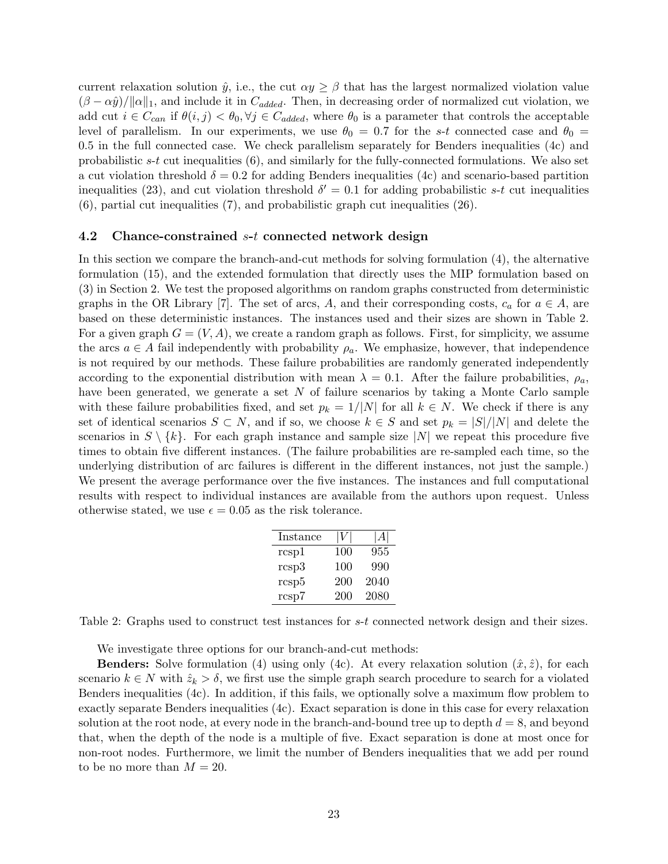current relaxation solution  $\hat{y}$ , i.e., the cut  $\alpha y \geq \beta$  that has the largest normalized violation value  $(\beta - \alpha \hat{y})/||\alpha||_1$ , and include it in  $C_{added}$ . Then, in decreasing order of normalized cut violation, we add cut  $i \in C_{can}$  if  $\theta(i, j) < \theta_0, \forall j \in C_{added}$ , where  $\theta_0$  is a parameter that controls the acceptable level of parallelism. In our experiments, we use  $\theta_0 = 0.7$  for the s-t connected case and  $\theta_0 =$ 0.5 in the full connected case. We check parallelism separately for Benders inequalities (4c) and probabilistic  $s-t$  cut inequalities  $(6)$ , and similarly for the fully-connected formulations. We also set a cut violation threshold  $\delta = 0.2$  for adding Benders inequalities (4c) and scenario-based partition inequalities (23), and cut violation threshold  $\delta' = 0.1$  for adding probabilistic s-t cut inequalities (6), partial cut inequalities (7), and probabilistic graph cut inequalities (26).

## 4.2 Chance-constrained s-t connected network design

In this section we compare the branch-and-cut methods for solving formulation (4), the alternative formulation (15), and the extended formulation that directly uses the MIP formulation based on (3) in Section 2. We test the proposed algorithms on random graphs constructed from deterministic graphs in the OR Library [7]. The set of arcs, A, and their corresponding costs,  $c_a$  for  $a \in A$ , are based on these deterministic instances. The instances used and their sizes are shown in Table 2. For a given graph  $G = (V, A)$ , we create a random graph as follows. First, for simplicity, we assume the arcs  $a \in A$  fail independently with probability  $\rho_a$ . We emphasize, however, that independence is not required by our methods. These failure probabilities are randomly generated independently according to the exponential distribution with mean  $\lambda = 0.1$ . After the failure probabilities,  $\rho_a$ , have been generated, we generate a set  $N$  of failure scenarios by taking a Monte Carlo sample with these failure probabilities fixed, and set  $p_k = 1/|N|$  for all  $k \in N$ . We check if there is any set of identical scenarios  $S \subset N$ , and if so, we choose  $k \in S$  and set  $p_k = |S|/|N|$  and delete the scenarios in  $S \setminus \{k\}$ . For each graph instance and sample size |N| we repeat this procedure five times to obtain five different instances. (The failure probabilities are re-sampled each time, so the underlying distribution of arc failures is different in the different instances, not just the sample.) We present the average performance over the five instances. The instances and full computational results with respect to individual instances are available from the authors upon request. Unless otherwise stated, we use  $\epsilon = 0.05$  as the risk tolerance.

| Instance | V   | A    |
|----------|-----|------|
| rcsp1    | 100 | 955  |
| rcsp3    | 100 | 990  |
| rcsp5    | 200 | 2040 |
| rcsp7    | 200 | 2080 |

Table 2: Graphs used to construct test instances for s-t connected network design and their sizes.

We investigate three options for our branch-and-cut methods:

**Benders:** Solve formulation (4) using only (4c). At every relaxation solution  $(\hat{x}, \hat{z})$ , for each scenario  $k \in N$  with  $\hat{z}_k > \delta$ , we first use the simple graph search procedure to search for a violated Benders inequalities (4c). In addition, if this fails, we optionally solve a maximum flow problem to exactly separate Benders inequalities (4c). Exact separation is done in this case for every relaxation solution at the root node, at every node in the branch-and-bound tree up to depth  $d = 8$ , and beyond that, when the depth of the node is a multiple of five. Exact separation is done at most once for non-root nodes. Furthermore, we limit the number of Benders inequalities that we add per round to be no more than  $M = 20$ .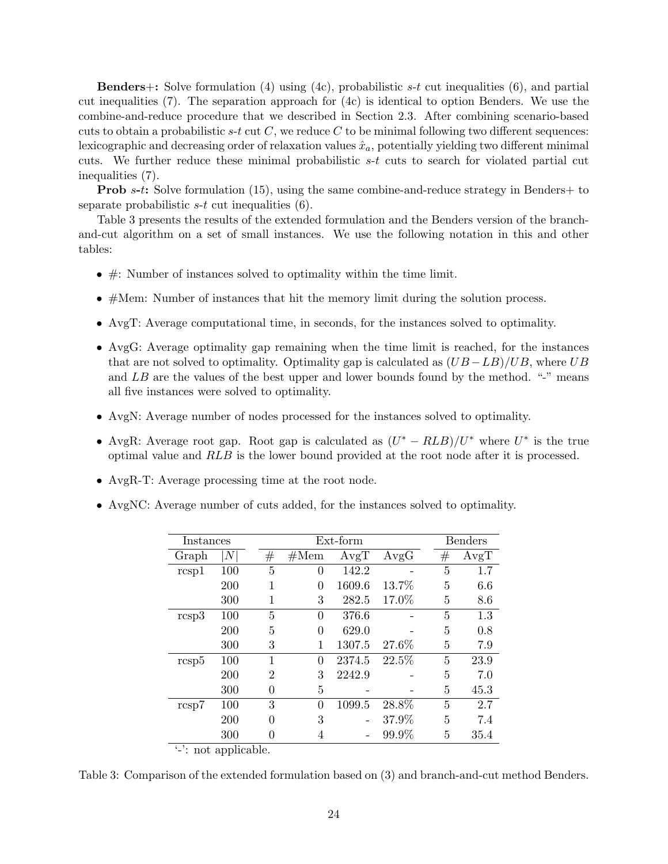**Benders**+: Solve formulation (4) using (4c), probabilistic s-t cut inequalities (6), and partial cut inequalities (7). The separation approach for (4c) is identical to option Benders. We use the combine-and-reduce procedure that we described in Section 2.3. After combining scenario-based cuts to obtain a probabilistic s-t cut  $C$ , we reduce C to be minimal following two different sequences: lexicographic and decreasing order of relaxation values  $\hat{x}_a$ , potentially yielding two different minimal cuts. We further reduce these minimal probabilistic s-t cuts to search for violated partial cut inequalities (7).

**Prob** s-t: Solve formulation (15), using the same combine-and-reduce strategy in Benders+ to separate probabilistic  $s-t$  cut inequalities  $(6)$ .

Table 3 presents the results of the extended formulation and the Benders version of the branchand-cut algorithm on a set of small instances. We use the following notation in this and other tables:

- $\bullet \#$ : Number of instances solved to optimality within the time limit.
- #Mem: Number of instances that hit the memory limit during the solution process.
- AvgT: Average computational time, in seconds, for the instances solved to optimality.
- AvgG: Average optimality gap remaining when the time limit is reached, for the instances that are not solved to optimality. Optimality gap is calculated as  $(UB - LB)/UB$ , where UB and  $LB$  are the values of the best upper and lower bounds found by the method. "-" means all five instances were solved to optimality.
- AvgN: Average number of nodes processed for the instances solved to optimality.
- AvgR: Average root gap. Root gap is calculated as  $(U^* RLB)/U^*$  where  $U^*$  is the true optimal value and RLB is the lower bound provided at the root node after it is processed.
- AvgR-T: Average processing time at the root node.
- AvgNC: Average number of cuts added, for the instances solved to optimality.

| Instances                 |                |                | Ext-form |        | Benders |   |      |  |  |
|---------------------------|----------------|----------------|----------|--------|---------|---|------|--|--|
| Graph                     | $\overline{N}$ | #              | #Mem     | AvgT   | AvgG    | # | AvgT |  |  |
| rcsp1                     | 100            | 5              | 0        | 142.2  |         | 5 | 1.7  |  |  |
|                           | 200            | 1              | 0        | 1609.6 | 13.7%   | 5 | 6.6  |  |  |
|                           | 300            | 1              | 3        | 282.5  | 17.0%   | 5 | 8.6  |  |  |
| rcsp3                     | 100            | 5              | 0        | 376.6  |         | 5 | 1.3  |  |  |
|                           | 200            | 5              | 0        | 629.0  |         | 5 | 0.8  |  |  |
|                           | 300            | 3              | 1        | 1307.5 | 27.6%   | 5 | 7.9  |  |  |
| rcsp5                     | 100            | 1              | $\Omega$ | 2374.5 | 22.5%   | 5 | 23.9 |  |  |
|                           | 200            | $\overline{2}$ | 3        | 2242.9 |         | 5 | 7.0  |  |  |
|                           | 300            | 0              | 5        |        |         | 5 | 45.3 |  |  |
| rcsp7                     | 100            | 3              | $\Omega$ | 1099.5 | 28.8%   | 5 | 2.7  |  |  |
|                           | 200            | 0              | 3        |        | 37.9%   | 5 | 7.4  |  |  |
|                           | 300            | 0              | 4        |        | 99.9%   | 5 | 35.4 |  |  |
| $\cdot$ : not applicable. |                |                |          |        |         |   |      |  |  |

Table 3: Comparison of the extended formulation based on (3) and branch-and-cut method Benders.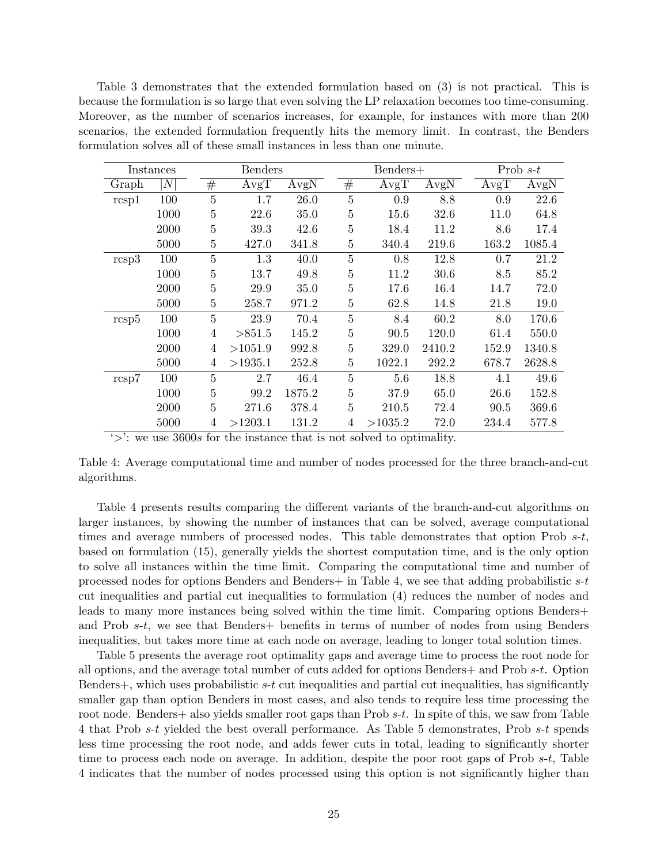Table 3 demonstrates that the extended formulation based on (3) is not practical. This is because the formulation is so large that even solving the LP relaxation becomes too time-consuming. Moreover, as the number of scenarios increases, for example, for instances with more than 200 scenarios, the extended formulation frequently hits the memory limit. In contrast, the Benders formulation solves all of these small instances in less than one minute.

|         | Instances        |                | <b>Benders</b> |        |                | Benders+   |        | Prob $s-t$ |        |  |
|---------|------------------|----------------|----------------|--------|----------------|------------|--------|------------|--------|--|
| Graph   | $\boldsymbol{N}$ | #              | AvgT           | AvgN   | $^{\#}$        | AvgT       | AvgN   | AvgT       | AvgN   |  |
| rcsp1   | 100              | $\overline{5}$ | 1.7            | 26.0   | 5              | 0.9        | 8.8    | 0.9        | 22.6   |  |
|         | 1000             | 5              | 22.6           | 35.0   | 5              | 15.6       | 32.6   | 11.0       | 64.8   |  |
|         | 2000             | $\overline{5}$ | 39.3           | 42.6   | $\overline{5}$ | 18.4       | 11.2   | 8.6        | 17.4   |  |
|         | 5000             | 5              | 427.0          | 341.8  | 5              | 340.4      | 219.6  | 163.2      | 1085.4 |  |
| $rcsp3$ | 100              | $\overline{5}$ | 1.3            | 40.0   | 5              | 0.8        | 12.8   | 0.7        | 21.2   |  |
|         | 1000             | $\overline{5}$ | 13.7           | 49.8   | $\overline{5}$ | 11.2       | 30.6   | 8.5        | 85.2   |  |
|         | 2000             | 5              | 29.9           | 35.0   | 5              | 17.6       | 16.4   | 14.7       | 72.0   |  |
|         | 5000             | 5              | 258.7          | 971.2  | 5              | 62.8       | 14.8   | 21.8       | 19.0   |  |
| rcsp5   | 100              | $\overline{5}$ | 23.9           | 70.4   | $\overline{5}$ | 8.4        | 60.2   | 8.0        | 170.6  |  |
|         | 1000             | $\overline{4}$ | >851.5         | 145.2  | 5              | 90.5       | 120.0  | 61.4       | 550.0  |  |
|         | 2000             | $\overline{4}$ | >1051.9        | 992.8  | 5              | 329.0      | 2410.2 | 152.9      | 1340.8 |  |
|         | 5000             | 4              | >1935.1        | 252.8  | 5              | 1022.1     | 292.2  | 678.7      | 2628.8 |  |
| rcsp7   | 100              | $\overline{5}$ | 2.7            | 46.4   | 5              | 5.6        | 18.8   | 4.1        | 49.6   |  |
|         | 1000             | 5              | 99.2           | 1875.2 | $\overline{5}$ | 37.9       | 65.0   | 26.6       | 152.8  |  |
|         | 2000             | $\overline{5}$ | 271.6          | 378.4  | $\overline{5}$ | 210.5      | 72.4   | 90.5       | 369.6  |  |
|         | 5000             | 4              | >1203.1        | 131.2  | 4              | $>$ 1035.2 | 72.0   | 234.4      | 577.8  |  |

'>': we use 3600s for the instance that is not solved to optimality.

Table 4: Average computational time and number of nodes processed for the three branch-and-cut algorithms.

Table 4 presents results comparing the different variants of the branch-and-cut algorithms on larger instances, by showing the number of instances that can be solved, average computational times and average numbers of processed nodes. This table demonstrates that option Prob  $s-t$ , based on formulation (15), generally yields the shortest computation time, and is the only option to solve all instances within the time limit. Comparing the computational time and number of processed nodes for options Benders and Benders + in Table 4, we see that adding probabilistic  $s-t$ cut inequalities and partial cut inequalities to formulation (4) reduces the number of nodes and leads to many more instances being solved within the time limit. Comparing options Benders+ and Prob s-t, we see that Benders+ benefits in terms of number of nodes from using Benders inequalities, but takes more time at each node on average, leading to longer total solution times.

Table 5 presents the average root optimality gaps and average time to process the root node for all options, and the average total number of cuts added for options Benders+ and Prob s-t. Option Benders+, which uses probabilistic  $s-t$  cut inequalities and partial cut inequalities, has significantly smaller gap than option Benders in most cases, and also tends to require less time processing the root node. Benders+ also yields smaller root gaps than Prob  $s-t$ . In spite of this, we saw from Table 4 that Prob s-t yielded the best overall performance. As Table 5 demonstrates, Prob s-t spends less time processing the root node, and adds fewer cuts in total, leading to significantly shorter time to process each node on average. In addition, despite the poor root gaps of Prob s-t, Table 4 indicates that the number of nodes processed using this option is not significantly higher than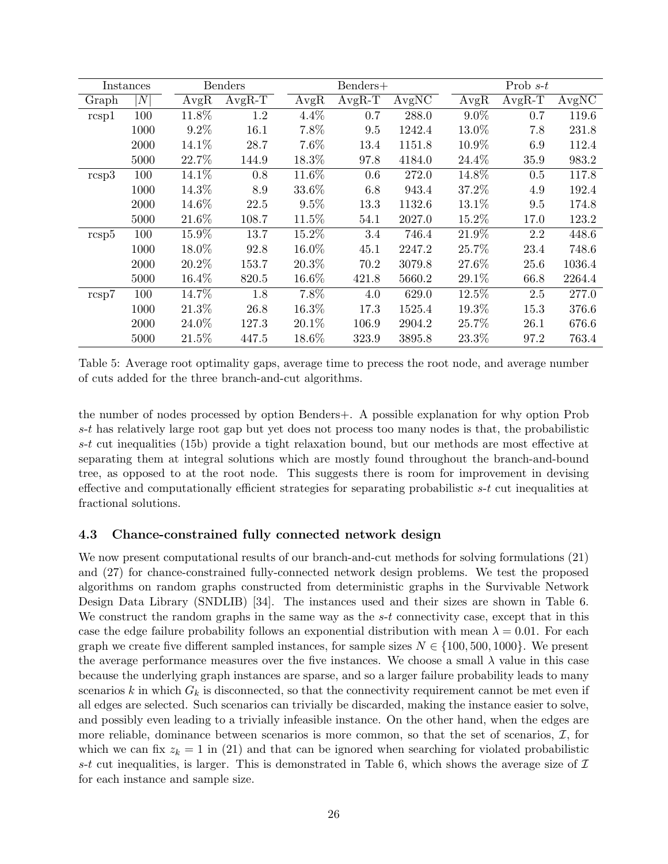|       | Instances      |         | <b>Benders</b> |          | Benders+ |        |         | Prob $s-t$ |        |
|-------|----------------|---------|----------------|----------|----------|--------|---------|------------|--------|
| Graph | $\overline{N}$ | AvgR    | $AvgR-T$       | AvgR     | $AvgR-T$ | AvgNC  | AvgR    | $AvgR-T$   | AvgNC  |
| rcsp1 | 100            | 11.8%   | 1.2            | 4.4%     | 0.7      | 288.0  | $9.0\%$ | 0.7        | 119.6  |
|       | 1000           | $9.2\%$ | 16.1           | 7.8%     | 9.5      | 1242.4 | 13.0%   | 7.8        | 231.8  |
|       | 2000           | 14.1\%  | 28.7           | 7.6%     | 13.4     | 1151.8 | 10.9%   | 6.9        | 112.4  |
|       | 5000           | 22.7%   | 144.9          | 18.3%    | 97.8     | 4184.0 | 24.4%   | 35.9       | 983.2  |
| rcsp3 | 100            | 14.1%   | 0.8            | 11.6%    | 0.6      | 272.0  | 14.8%   | 0.5        | 117.8  |
|       | 1000           | 14.3%   | 8.9            | 33.6%    | 6.8      | 943.4  | 37.2%   | 4.9        | 192.4  |
|       | 2000           | 14.6%   | 22.5           | $9.5\%$  | 13.3     | 1132.6 | 13.1%   | 9.5        | 174.8  |
|       | 5000           | 21.6%   | 108.7          | 11.5%    | 54.1     | 2027.0 | 15.2%   | 17.0       | 123.2  |
| rcsp5 | 100            | 15.9%   | 13.7           | 15.2%    | 3.4      | 746.4  | 21.9%   | 2.2        | 448.6  |
|       | 1000           | 18.0%   | 92.8           | 16.0%    | 45.1     | 2247.2 | 25.7%   | 23.4       | 748.6  |
|       | 2000           | 20.2%   | 153.7          | 20.3%    | 70.2     | 3079.8 | 27.6%   | 25.6       | 1036.4 |
|       | 5000           | 16.4%   | 820.5          | 16.6%    | 421.8    | 5660.2 | 29.1%   | 66.8       | 2264.4 |
| rcsp7 | 100            | 14.7%   | 1.8            | 7.8%     | 4.0      | 629.0  | 12.5%   | $2.5\,$    | 277.0  |
|       | 1000           | 21.3%   | 26.8           | 16.3%    | 17.3     | 1525.4 | 19.3%   | 15.3       | 376.6  |
|       | 2000           | 24.0%   | 127.3          | $20.1\%$ | 106.9    | 2904.2 | 25.7%   | 26.1       | 676.6  |
|       | 5000           | 21.5%   | 447.5          | 18.6%    | 323.9    | 3895.8 | 23.3%   | 97.2       | 763.4  |

Table 5: Average root optimality gaps, average time to precess the root node, and average number of cuts added for the three branch-and-cut algorithms.

the number of nodes processed by option Benders+. A possible explanation for why option Prob s-t has relatively large root gap but yet does not process too many nodes is that, the probabilistic  $s-t$  cut inequalities (15b) provide a tight relaxation bound, but our methods are most effective at separating them at integral solutions which are mostly found throughout the branch-and-bound tree, as opposed to at the root node. This suggests there is room for improvement in devising effective and computationally efficient strategies for separating probabilistic  $s-t$  cut inequalities at fractional solutions.

## 4.3 Chance-constrained fully connected network design

We now present computational results of our branch-and-cut methods for solving formulations (21) and (27) for chance-constrained fully-connected network design problems. We test the proposed algorithms on random graphs constructed from deterministic graphs in the Survivable Network Design Data Library (SNDLIB) [34]. The instances used and their sizes are shown in Table 6. We construct the random graphs in the same way as the  $s-t$  connectivity case, except that in this case the edge failure probability follows an exponential distribution with mean  $\lambda = 0.01$ . For each graph we create five different sampled instances, for sample sizes  $N \in \{100, 500, 1000\}$ . We present the average performance measures over the five instances. We choose a small  $\lambda$  value in this case because the underlying graph instances are sparse, and so a larger failure probability leads to many scenarios k in which  $G_k$  is disconnected, so that the connectivity requirement cannot be met even if all edges are selected. Such scenarios can trivially be discarded, making the instance easier to solve, and possibly even leading to a trivially infeasible instance. On the other hand, when the edges are more reliable, dominance between scenarios is more common, so that the set of scenarios,  $I$ , for which we can fix  $z_k = 1$  in (21) and that can be ignored when searching for violated probabilistic s-t cut inequalities, is larger. This is demonstrated in Table 6, which shows the average size of  $\mathcal I$ for each instance and sample size.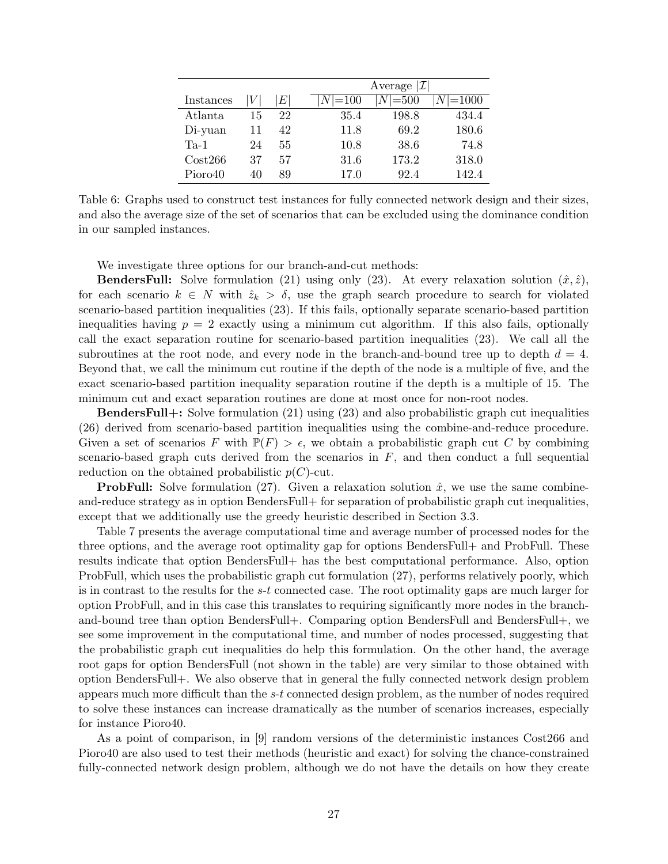|           |    |               |           | Average $ \mathcal{I} $ |                    |  |  |  |  |  |
|-----------|----|---------------|-----------|-------------------------|--------------------|--|--|--|--|--|
| Instances |    | $\,$ $E$ $\,$ | $ N =100$ | $N = 500$               | $ \bar{N}  = 1000$ |  |  |  |  |  |
| Atlanta   | 15 | 22            | 35.4      | 198.8                   | 434.4              |  |  |  |  |  |
| Di-yuan   | 11 | 42            | 11.8      | 69.2                    | 180.6              |  |  |  |  |  |
| $Ta-1$    | 24 | 55            | 10.8      | 38.6                    | 74.8               |  |  |  |  |  |
| Cost266   | 37 | 57            | 31.6      | 173.2                   | 318.0              |  |  |  |  |  |
| Pioro40   | 40 | 89            | 17.0      | 92.4                    | 142.4              |  |  |  |  |  |

Table 6: Graphs used to construct test instances for fully connected network design and their sizes, and also the average size of the set of scenarios that can be excluded using the dominance condition in our sampled instances.

We investigate three options for our branch-and-cut methods:

**BendersFull:** Solve formulation (21) using only (23). At every relaxation solution  $(\hat{x}, \hat{z})$ , for each scenario  $k \in N$  with  $\hat{z}_k > \delta$ , use the graph search procedure to search for violated scenario-based partition inequalities (23). If this fails, optionally separate scenario-based partition inequalities having  $p = 2$  exactly using a minimum cut algorithm. If this also fails, optionally call the exact separation routine for scenario-based partition inequalities (23). We call all the subroutines at the root node, and every node in the branch-and-bound tree up to depth  $d = 4$ . Beyond that, we call the minimum cut routine if the depth of the node is a multiple of five, and the exact scenario-based partition inequality separation routine if the depth is a multiple of 15. The minimum cut and exact separation routines are done at most once for non-root nodes.

BendersFull+: Solve formulation (21) using (23) and also probabilistic graph cut inequalities (26) derived from scenario-based partition inequalities using the combine-and-reduce procedure. Given a set of scenarios F with  $\mathbb{P}(F) > \epsilon$ , we obtain a probabilistic graph cut C by combining scenario-based graph cuts derived from the scenarios in  $F$ , and then conduct a full sequential reduction on the obtained probabilistic  $p(C)$ -cut.

**ProbFull:** Solve formulation (27). Given a relaxation solution  $\hat{x}$ , we use the same combineand-reduce strategy as in option BendersFull+ for separation of probabilistic graph cut inequalities, except that we additionally use the greedy heuristic described in Section 3.3.

Table 7 presents the average computational time and average number of processed nodes for the three options, and the average root optimality gap for options BendersFull+ and ProbFull. These results indicate that option BendersFull+ has the best computational performance. Also, option ProbFull, which uses the probabilistic graph cut formulation (27), performs relatively poorly, which is in contrast to the results for the s-t connected case. The root optimality gaps are much larger for option ProbFull, and in this case this translates to requiring significantly more nodes in the branchand-bound tree than option BendersFull+. Comparing option BendersFull and BendersFull+, we see some improvement in the computational time, and number of nodes processed, suggesting that the probabilistic graph cut inequalities do help this formulation. On the other hand, the average root gaps for option BendersFull (not shown in the table) are very similar to those obtained with option BendersFull+. We also observe that in general the fully connected network design problem appears much more difficult than the s-t connected design problem, as the number of nodes required to solve these instances can increase dramatically as the number of scenarios increases, especially for instance Pioro40.

As a point of comparison, in [9] random versions of the deterministic instances Cost266 and Pioro40 are also used to test their methods (heuristic and exact) for solving the chance-constrained fully-connected network design problem, although we do not have the details on how they create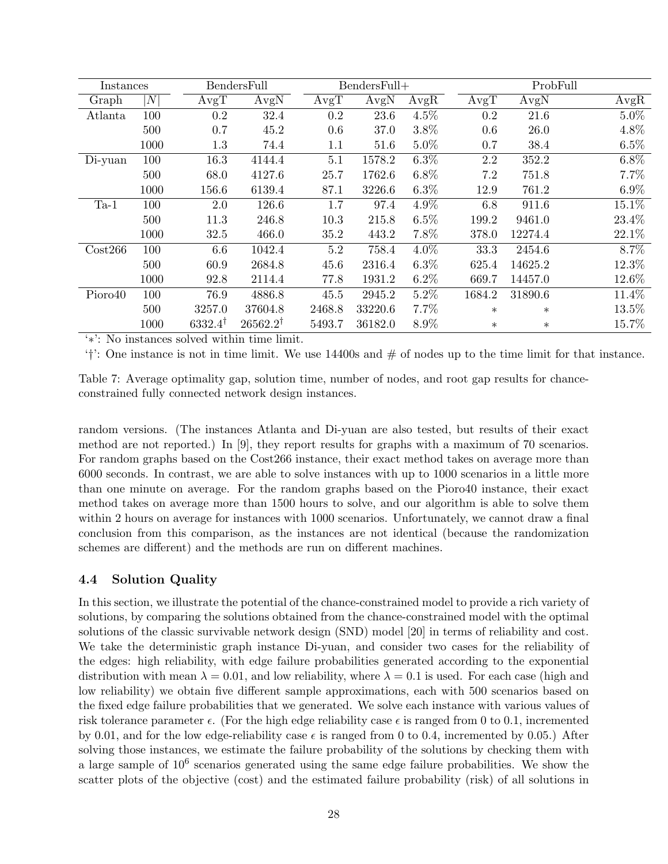| Instances |                |                    | BendersFull         |         | $BendersFull+$ |         |        |         | ProbFull |
|-----------|----------------|--------------------|---------------------|---------|----------------|---------|--------|---------|----------|
| Graph     | $\overline{N}$ | AvgT               | AvgN                | AvgT    | AvgN           | AvgR    | AvgT   | AvgN    | AvgR     |
| Atlanta   | 100            | 0.2                | 32.4                | 0.2     | 23.6           | 4.5%    | 0.2    | 21.6    | 5.0%     |
|           | 500            | 0.7                | 45.2                | 0.6     | 37.0           | 3.8%    | 0.6    | 26.0    | 4.8%     |
|           | 1000           | 1.3                | 74.4                | $1.1\,$ | 51.6           | $5.0\%$ | 0.7    | 38.4    | 6.5%     |
| Di-yuan   | 100            | 16.3               | 4144.4              | 5.1     | 1578.2         | $6.3\%$ | 2.2    | 352.2   | $6.8\%$  |
|           | 500            | 68.0               | 4127.6              | 25.7    | 1762.6         | $6.8\%$ | 7.2    | 751.8   | 7.7%     |
|           | 1000           | 156.6              | 6139.4              | 87.1    | 3226.6         | $6.3\%$ | 12.9   | 761.2   | $6.9\%$  |
| $Ta-1$    | 100            | 2.0                | 126.6               | 1.7     | 97.4           | 4.9%    | 6.8    | 911.6   | 15.1%    |
|           | 500            | 11.3               | 246.8               | 10.3    | 215.8          | 6.5%    | 199.2  | 9461.0  | 23.4%    |
|           | 1000           | 32.5               | 466.0               | 35.2    | 443.2          | 7.8%    | 378.0  | 12274.4 | 22.1\%   |
| Cost266   | 100            | 6.6                | 1042.4              | 5.2     | 758.4          | 4.0%    | 33.3   | 2454.6  | 8.7%     |
|           | 500            | 60.9               | 2684.8              | 45.6    | 2316.4         | $6.3\%$ | 625.4  | 14625.2 | 12.3%    |
|           | 1000           | 92.8               | 2114.4              | 77.8    | 1931.2         | $6.2\%$ | 669.7  | 14457.0 | 12.6%    |
| Pioro40   | 100            | 76.9               | 4886.8              | 45.5    | 2945.2         | 5.2%    | 1684.2 | 31890.6 | 11.4%    |
|           | 500            | 3257.0             | 37604.8             | 2468.8  | 33220.6        | 7.7%    | $\ast$ | $\ast$  | 13.5%    |
|           | 1000           | $6332.4^{\dagger}$ | $26562.2^{\dagger}$ | 5493.7  | 36182.0        | 8.9%    | $\ast$ | $\ast$  | 15.7%    |

'∗': No instances solved within time limit.

'†': One instance is not in time limit. We use 14400s and # of nodes up to the time limit for that instance.

Table 7: Average optimality gap, solution time, number of nodes, and root gap results for chanceconstrained fully connected network design instances.

random versions. (The instances Atlanta and Di-yuan are also tested, but results of their exact method are not reported.) In [9], they report results for graphs with a maximum of 70 scenarios. For random graphs based on the Cost266 instance, their exact method takes on average more than 6000 seconds. In contrast, we are able to solve instances with up to 1000 scenarios in a little more than one minute on average. For the random graphs based on the Pioro40 instance, their exact method takes on average more than 1500 hours to solve, and our algorithm is able to solve them within 2 hours on average for instances with 1000 scenarios. Unfortunately, we cannot draw a final conclusion from this comparison, as the instances are not identical (because the randomization schemes are different) and the methods are run on different machines.

## 4.4 Solution Quality

In this section, we illustrate the potential of the chance-constrained model to provide a rich variety of solutions, by comparing the solutions obtained from the chance-constrained model with the optimal solutions of the classic survivable network design (SND) model [20] in terms of reliability and cost. We take the deterministic graph instance Di-yuan, and consider two cases for the reliability of the edges: high reliability, with edge failure probabilities generated according to the exponential distribution with mean  $\lambda = 0.01$ , and low reliability, where  $\lambda = 0.1$  is used. For each case (high and low reliability) we obtain five different sample approximations, each with 500 scenarios based on the fixed edge failure probabilities that we generated. We solve each instance with various values of risk tolerance parameter  $\epsilon$ . (For the high edge reliability case  $\epsilon$  is ranged from 0 to 0.1, incremented by 0.01, and for the low edge-reliability case  $\epsilon$  is ranged from 0 to 0.4, incremented by 0.05.) After solving those instances, we estimate the failure probability of the solutions by checking them with a large sample of  $10^6$  scenarios generated using the same edge failure probabilities. We show the scatter plots of the objective (cost) and the estimated failure probability (risk) of all solutions in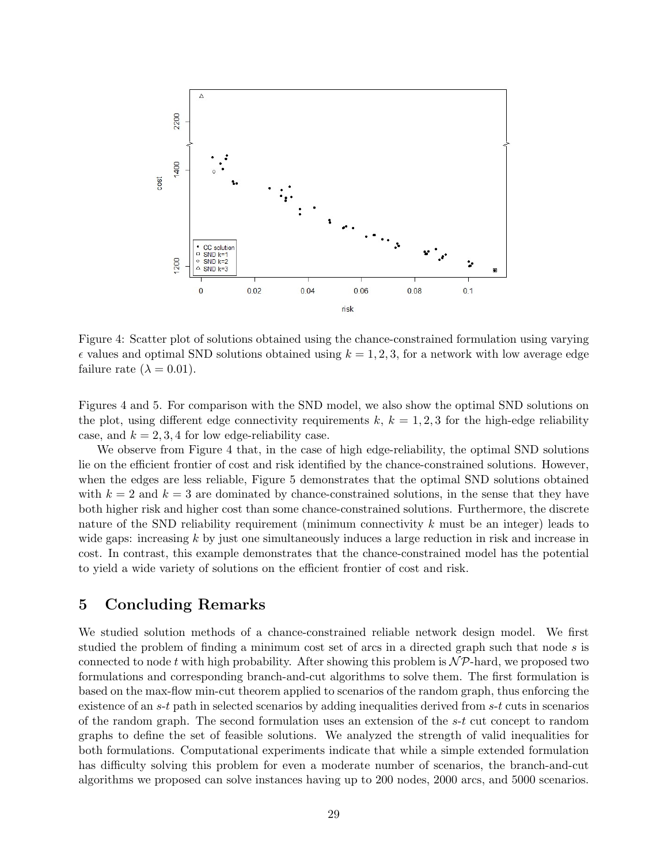

Figure 4: Scatter plot of solutions obtained using the chance-constrained formulation using varying  $\epsilon$  values and optimal SND solutions obtained using  $k = 1, 2, 3$ , for a network with low average edge failure rate  $(\lambda = 0.01)$ .

Figures 4 and 5. For comparison with the SND model, we also show the optimal SND solutions on the plot, using different edge connectivity requirements  $k, k = 1, 2, 3$  for the high-edge reliability case, and  $k = 2, 3, 4$  for low edge-reliability case.

We observe from Figure 4 that, in the case of high edge-reliability, the optimal SND solutions lie on the efficient frontier of cost and risk identified by the chance-constrained solutions. However, when the edges are less reliable, Figure 5 demonstrates that the optimal SND solutions obtained with  $k = 2$  and  $k = 3$  are dominated by chance-constrained solutions, in the sense that they have both higher risk and higher cost than some chance-constrained solutions. Furthermore, the discrete nature of the SND reliability requirement (minimum connectivity k must be an integer) leads to wide gaps: increasing k by just one simultaneously induces a large reduction in risk and increase in cost. In contrast, this example demonstrates that the chance-constrained model has the potential to yield a wide variety of solutions on the efficient frontier of cost and risk.

# 5 Concluding Remarks

We studied solution methods of a chance-constrained reliable network design model. We first studied the problem of finding a minimum cost set of arcs in a directed graph such that node s is connected to node t with high probability. After showing this problem is  $\mathcal{NP}$ -hard, we proposed two formulations and corresponding branch-and-cut algorithms to solve them. The first formulation is based on the max-flow min-cut theorem applied to scenarios of the random graph, thus enforcing the existence of an s-t path in selected scenarios by adding inequalities derived from s-t cuts in scenarios of the random graph. The second formulation uses an extension of the s-t cut concept to random graphs to define the set of feasible solutions. We analyzed the strength of valid inequalities for both formulations. Computational experiments indicate that while a simple extended formulation has difficulty solving this problem for even a moderate number of scenarios, the branch-and-cut algorithms we proposed can solve instances having up to 200 nodes, 2000 arcs, and 5000 scenarios.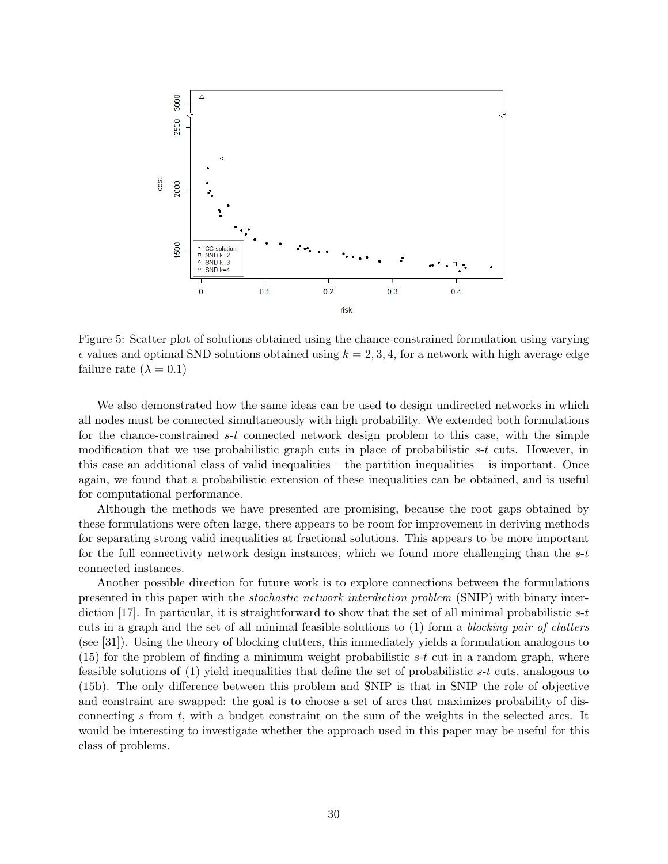

Figure 5: Scatter plot of solutions obtained using the chance-constrained formulation using varying  $\epsilon$  values and optimal SND solutions obtained using  $k = 2, 3, 4$ , for a network with high average edge failure rate  $(\lambda = 0.1)$ 

We also demonstrated how the same ideas can be used to design undirected networks in which all nodes must be connected simultaneously with high probability. We extended both formulations for the chance-constrained s-t connected network design problem to this case, with the simple modification that we use probabilistic graph cuts in place of probabilistic s-t cuts. However, in this case an additional class of valid inequalities – the partition inequalities – is important. Once again, we found that a probabilistic extension of these inequalities can be obtained, and is useful for computational performance.

Although the methods we have presented are promising, because the root gaps obtained by these formulations were often large, there appears to be room for improvement in deriving methods for separating strong valid inequalities at fractional solutions. This appears to be more important for the full connectivity network design instances, which we found more challenging than the  $s$ -t connected instances.

Another possible direction for future work is to explore connections between the formulations presented in this paper with the stochastic network interdiction problem (SNIP) with binary interdiction [17]. In particular, it is straightforward to show that the set of all minimal probabilistic  $s-t$ cuts in a graph and the set of all minimal feasible solutions to  $(1)$  form a *blocking pair of clutters* (see [31]). Using the theory of blocking clutters, this immediately yields a formulation analogous to  $(15)$  for the problem of finding a minimum weight probabilistic s-t cut in a random graph, where feasible solutions of  $(1)$  yield inequalities that define the set of probabilistic s-t cuts, analogous to (15b). The only difference between this problem and SNIP is that in SNIP the role of objective and constraint are swapped: the goal is to choose a set of arcs that maximizes probability of disconnecting s from t, with a budget constraint on the sum of the weights in the selected arcs. It would be interesting to investigate whether the approach used in this paper may be useful for this class of problems.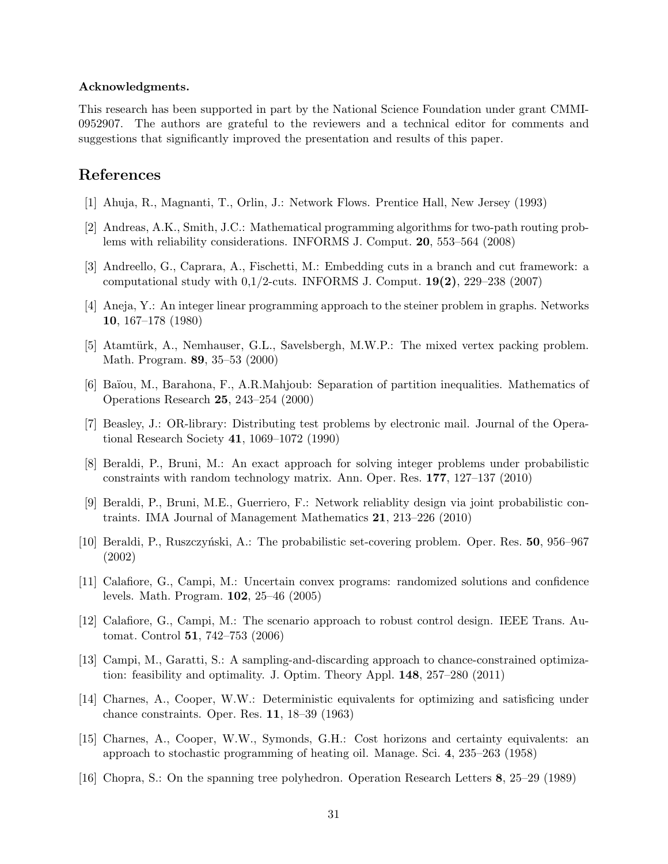#### Acknowledgments.

This research has been supported in part by the National Science Foundation under grant CMMI-0952907. The authors are grateful to the reviewers and a technical editor for comments and suggestions that significantly improved the presentation and results of this paper.

# References

- [1] Ahuja, R., Magnanti, T., Orlin, J.: Network Flows. Prentice Hall, New Jersey (1993)
- [2] Andreas, A.K., Smith, J.C.: Mathematical programming algorithms for two-path routing problems with reliability considerations. INFORMS J. Comput. 20, 553–564 (2008)
- [3] Andreello, G., Caprara, A., Fischetti, M.: Embedding cuts in a branch and cut framework: a computational study with  $0,1/2$ -cuts. INFORMS J. Comput.  $19(2)$ ,  $229-238$  (2007)
- [4] Aneja, Y.: An integer linear programming approach to the steiner problem in graphs. Networks 10, 167–178 (1980)
- [5] Atamtürk, A., Nemhauser, G.L., Savelsbergh, M.W.P.: The mixed vertex packing problem. Math. Program. 89, 35–53 (2000)
- [6] Ba¨ıou, M., Barahona, F., A.R.Mahjoub: Separation of partition inequalities. Mathematics of Operations Research 25, 243–254 (2000)
- [7] Beasley, J.: OR-library: Distributing test problems by electronic mail. Journal of the Operational Research Society 41, 1069–1072 (1990)
- [8] Beraldi, P., Bruni, M.: An exact approach for solving integer problems under probabilistic constraints with random technology matrix. Ann. Oper. Res. 177, 127–137 (2010)
- [9] Beraldi, P., Bruni, M.E., Guerriero, F.: Network reliablity design via joint probabilistic contraints. IMA Journal of Management Mathematics 21, 213–226 (2010)
- [10] Beraldi, P., Ruszczyński, A.: The probabilistic set-covering problem. Oper. Res. 50, 956–967 (2002)
- [11] Calafiore, G., Campi, M.: Uncertain convex programs: randomized solutions and confidence levels. Math. Program. 102, 25–46 (2005)
- [12] Calafiore, G., Campi, M.: The scenario approach to robust control design. IEEE Trans. Automat. Control 51, 742–753 (2006)
- [13] Campi, M., Garatti, S.: A sampling-and-discarding approach to chance-constrained optimization: feasibility and optimality. J. Optim. Theory Appl. 148, 257–280 (2011)
- [14] Charnes, A., Cooper, W.W.: Deterministic equivalents for optimizing and satisficing under chance constraints. Oper. Res. 11, 18–39 (1963)
- [15] Charnes, A., Cooper, W.W., Symonds, G.H.: Cost horizons and certainty equivalents: an approach to stochastic programming of heating oil. Manage. Sci. 4, 235–263 (1958)
- [16] Chopra, S.: On the spanning tree polyhedron. Operation Research Letters 8, 25–29 (1989)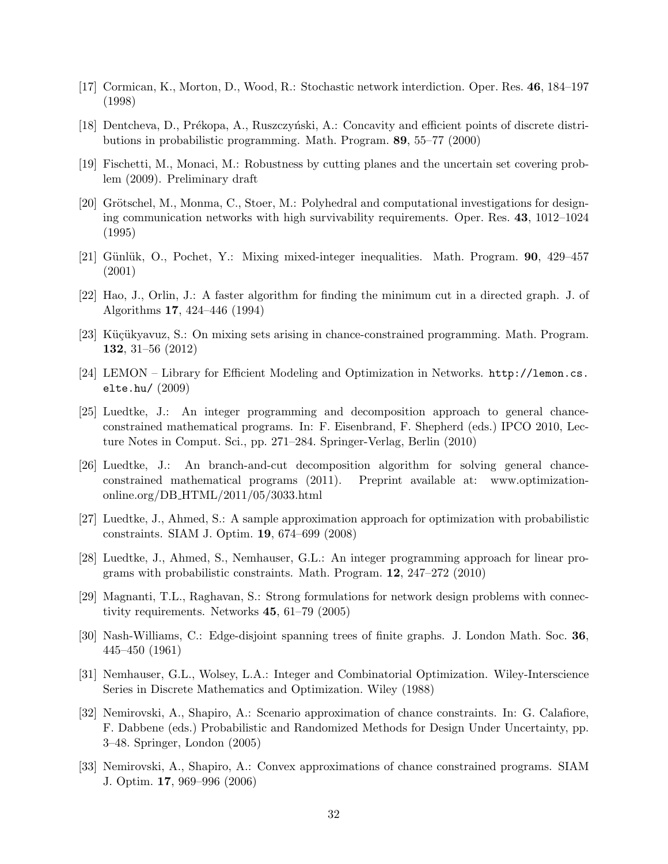- [17] Cormican, K., Morton, D., Wood, R.: Stochastic network interdiction. Oper. Res. 46, 184–197 (1998)
- [18] Dentcheva, D., Prékopa, A., Ruszczyński, A.: Concavity and efficient points of discrete distributions in probabilistic programming. Math. Program. 89, 55–77 (2000)
- [19] Fischetti, M., Monaci, M.: Robustness by cutting planes and the uncertain set covering problem (2009). Preliminary draft
- [20] Grötschel, M., Monma, C., Stoer, M.: Polyhedral and computational investigations for designing communication networks with high survivability requirements. Oper. Res. 43, 1012–1024 (1995)
- [21] Günlük, O., Pochet, Y.: Mixing mixed-integer inequalities. Math. Program. **90**, 429–457 (2001)
- [22] Hao, J., Orlin, J.: A faster algorithm for finding the minimum cut in a directed graph. J. of Algorithms 17, 424–446 (1994)
- [23] Küçükyavuz, S.: On mixing sets arising in chance-constrained programming. Math. Program. 132, 31–56 (2012)
- [24] LEMON Library for Efficient Modeling and Optimization in Networks. http://lemon.cs. elte.hu/ (2009)
- [25] Luedtke, J.: An integer programming and decomposition approach to general chanceconstrained mathematical programs. In: F. Eisenbrand, F. Shepherd (eds.) IPCO 2010, Lecture Notes in Comput. Sci., pp. 271–284. Springer-Verlag, Berlin (2010)
- [26] Luedtke, J.: An branch-and-cut decomposition algorithm for solving general chanceconstrained mathematical programs (2011). Preprint available at: www.optimizationonline.org/DB HTML/2011/05/3033.html
- [27] Luedtke, J., Ahmed, S.: A sample approximation approach for optimization with probabilistic constraints. SIAM J. Optim. 19, 674–699 (2008)
- [28] Luedtke, J., Ahmed, S., Nemhauser, G.L.: An integer programming approach for linear programs with probabilistic constraints. Math. Program. 12, 247–272 (2010)
- [29] Magnanti, T.L., Raghavan, S.: Strong formulations for network design problems with connectivity requirements. Networks 45, 61–79 (2005)
- [30] Nash-Williams, C.: Edge-disjoint spanning trees of finite graphs. J. London Math. Soc. 36, 445–450 (1961)
- [31] Nemhauser, G.L., Wolsey, L.A.: Integer and Combinatorial Optimization. Wiley-Interscience Series in Discrete Mathematics and Optimization. Wiley (1988)
- [32] Nemirovski, A., Shapiro, A.: Scenario approximation of chance constraints. In: G. Calafiore, F. Dabbene (eds.) Probabilistic and Randomized Methods for Design Under Uncertainty, pp. 3–48. Springer, London (2005)
- [33] Nemirovski, A., Shapiro, A.: Convex approximations of chance constrained programs. SIAM J. Optim. 17, 969–996 (2006)